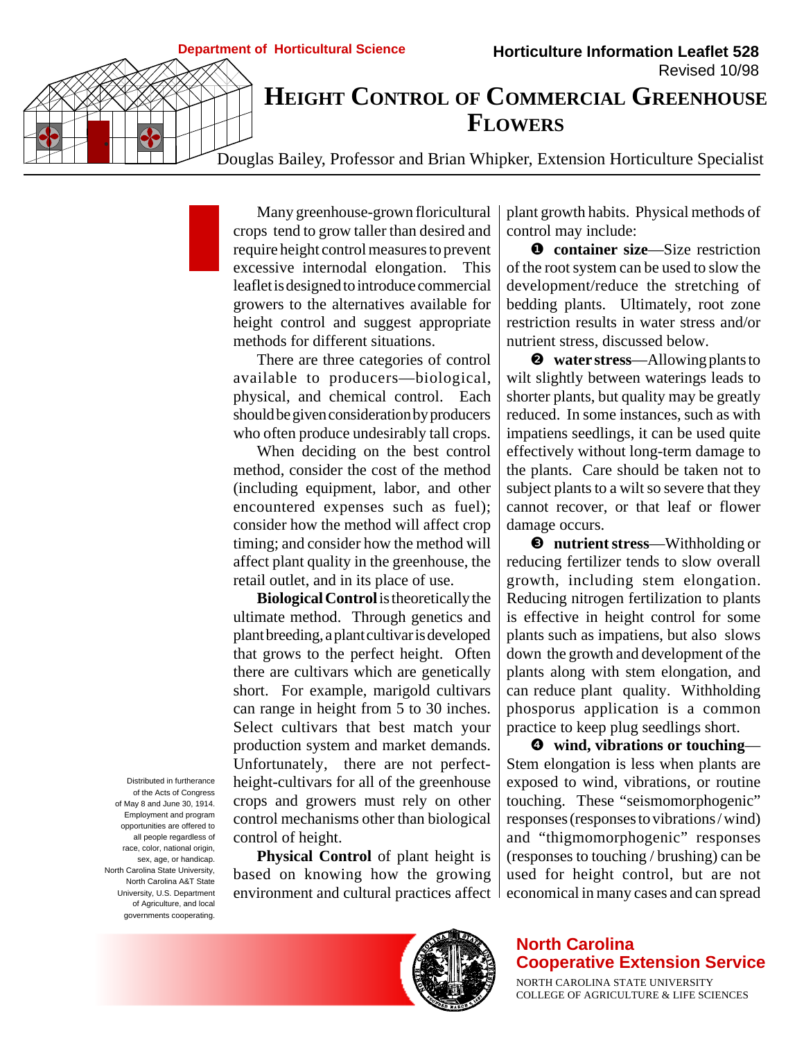Many greenhouse-grown floricultural crops tend to grow taller than desired and require height control measures to prevent excessive internodal elongation. This leaflet is designed to introduce commercial growers to the alternatives available for height control and suggest appropriate methods for different situations.

There are three categories of control available to producers—biological, physical, and chemical control. Each should be given consideration by producers who often produce undesirably tall crops.

When deciding on the best control method, consider the cost of the method (including equipment, labor, and other encountered expenses such as fuel); consider how the method will affect crop timing; and consider how the method will affect plant quality in the greenhouse, the retail outlet, and in its place of use.

**Biological Control** is theoretically the ultimate method. Through genetics and plant breeding, a plant cultivar is developed that grows to the perfect height. Often there are cultivars which are genetically short. For example, marigold cultivars can range in height from 5 to 30 inches. Select cultivars that best match your production system and market demands. Unfortunately, there are not perfectheight-cultivars for all of the greenhouse crops and growers must rely on other control mechanisms other than biological control of height.

**Physical Control** of plant height is based on knowing how the growing environment and cultural practices affect

plant growth habits. Physical methods of control may include:

❶ **container size**—Size restriction of the root system can be used to slow the development/reduce the stretching of bedding plants. Ultimately, root zone restriction results in water stress and/or nutrient stress, discussed below.

❷ **water stress**—Allowing plants to wilt slightly between waterings leads to shorter plants, but quality may be greatly reduced. In some instances, such as with impatiens seedlings, it can be used quite effectively without long-term damage to the plants. Care should be taken not to subject plants to a wilt so severe that they cannot recover, or that leaf or flower damage occurs.

❸ **nutrient stress**—Withholding or reducing fertilizer tends to slow overall growth, including stem elongation. Reducing nitrogen fertilization to plants is effective in height control for some plants such as impatiens, but also slows down the growth and development of the plants along with stem elongation, and can reduce plant quality. Withholding phosporus application is a common practice to keep plug seedlings short.

❹ **wind, vibrations or touching**— Stem elongation is less when plants are exposed to wind, vibrations, or routine touching. These "seismomorphogenic" responses (responses to vibrations / wind) and "thigmomorphogenic" responses (responses to touching / brushing) can be used for height control, but are not economical in many cases and can spread

**North Carolina Cooperative Extension Service**

NORTH CAROLINA STATE UNIVERSITY COLLEGE OF AGRICULTURE & LIFE SCIENCES

Distributed in furtherance of the Acts of Congress of May 8 and June 30, 1914. Employment and program opportunities are offered to all people regardless of race, color, national origin, sex, age, or handicap. North Carolina State University, North Carolina A&T State University, U.S. Department of Agriculture, and local governments cooperating.

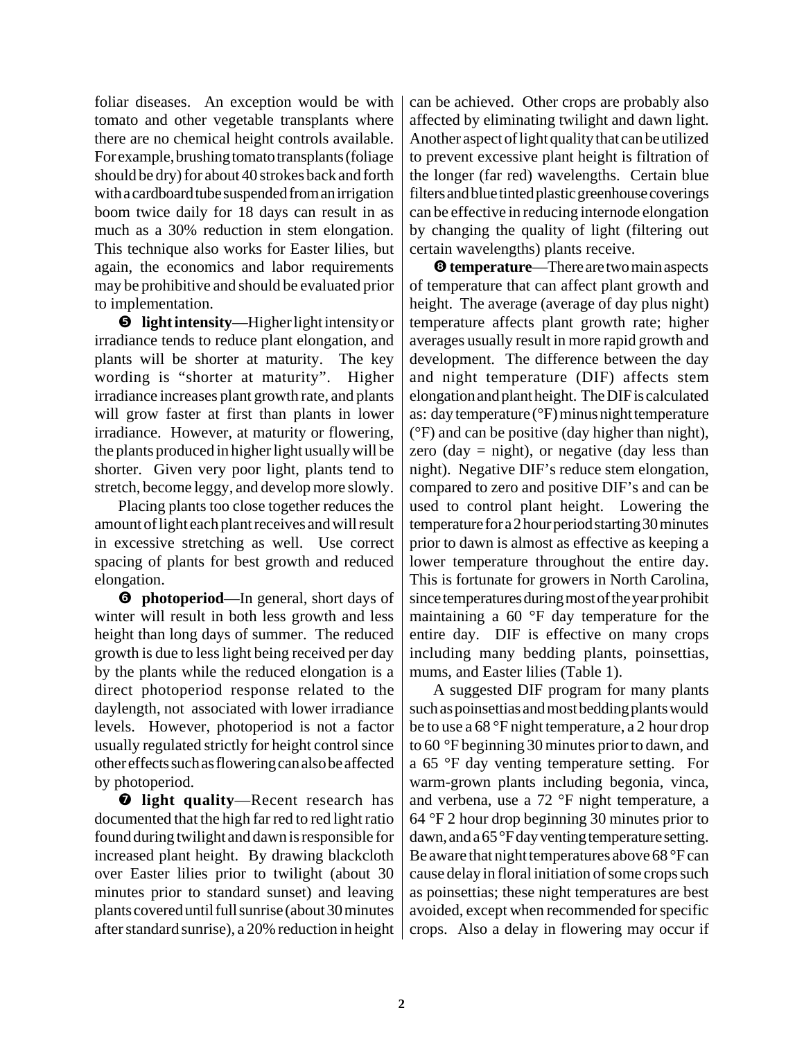foliar diseases. An exception would be with tomato and other vegetable transplants where there are no chemical height controls available. For example, brushing tomato transplants (foliage should be dry) for about 40 strokes back and forth with a cardboard tube suspended from an irrigation boom twice daily for 18 days can result in as much as a 30% reduction in stem elongation. This technique also works for Easter lilies, but again, the economics and labor requirements may be prohibitive and should be evaluated prior to implementation.

❺ **light intensity**—Higher light intensity or irradiance tends to reduce plant elongation, and plants will be shorter at maturity. The key wording is "shorter at maturity". Higher irradiance increases plant growth rate, and plants will grow faster at first than plants in lower irradiance. However, at maturity or flowering, the plants produced in higher light usually will be shorter. Given very poor light, plants tend to stretch, become leggy, and develop more slowly.

Placing plants too close together reduces the amount of light each plant receives and will result in excessive stretching as well. Use correct spacing of plants for best growth and reduced elongation.

❻ **photoperiod**—In general, short days of winter will result in both less growth and less height than long days of summer. The reduced growth is due to less light being received per day by the plants while the reduced elongation is a direct photoperiod response related to the daylength, not associated with lower irradiance levels. However, photoperiod is not a factor usually regulated strictly for height control since other effects such as flowering can also be affected by photoperiod.

❼ **light quality**—Recent research has documented that the high far red to red light ratio found during twilight and dawn is responsible for increased plant height. By drawing blackcloth over Easter lilies prior to twilight (about 30 minutes prior to standard sunset) and leaving plants covered until full sunrise (about 30 minutes after standard sunrise), a 20% reduction in height can be achieved. Other crops are probably also affected by eliminating twilight and dawn light. Another aspect of light quality that can be utilized to prevent excessive plant height is filtration of the longer (far red) wavelengths. Certain blue filters and blue tinted plastic greenhouse coverings can be effective in reducing internode elongation by changing the quality of light (filtering out certain wavelengths) plants receive.

❽ **temperature**—There are two main aspects of temperature that can affect plant growth and height. The average (average of day plus night) temperature affects plant growth rate; higher averages usually result in more rapid growth and development. The difference between the day and night temperature (DIF) affects stem elongation and plant height. The DIF is calculated as: day temperature (°F) minus night temperature (°F) and can be positive (day higher than night), zero (day  $=$  night), or negative (day less than night). Negative DIF's reduce stem elongation, compared to zero and positive DIF's and can be used to control plant height. Lowering the temperature for a 2 hour period starting 30 minutes prior to dawn is almost as effective as keeping a lower temperature throughout the entire day. This is fortunate for growers in North Carolina, since temperatures during most of the year prohibit maintaining a 60 °F day temperature for the entire day. DIF is effective on many crops including many bedding plants, poinsettias, mums, and Easter lilies (Table 1).

A suggested DIF program for many plants such as poinsettias and most bedding plants would be to use a 68 °F night temperature, a 2 hour drop to 60 °F beginning 30 minutes prior to dawn, and a 65 °F day venting temperature setting. For warm-grown plants including begonia, vinca, and verbena, use a 72 °F night temperature, a 64 °F 2 hour drop beginning 30 minutes prior to dawn, and a 65 °F day venting temperature setting. Be aware that night temperatures above 68 °F can cause delay in floral initiation of some crops such as poinsettias; these night temperatures are best avoided, except when recommended for specific crops. Also a delay in flowering may occur if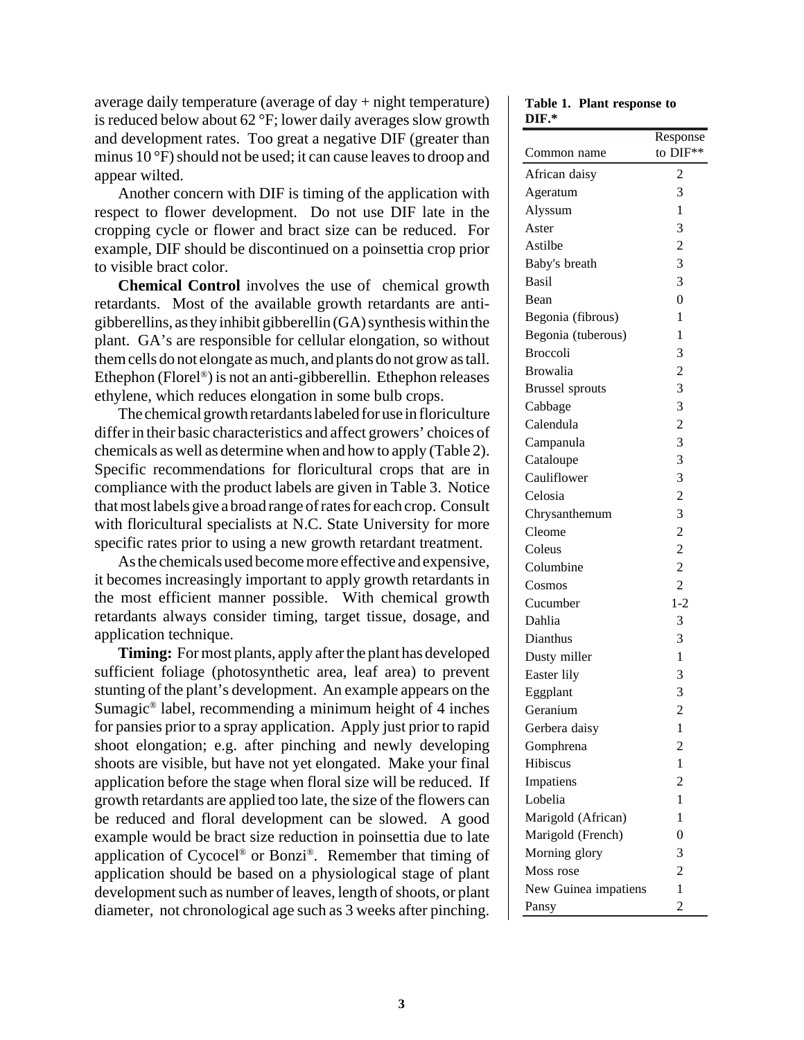average daily temperature (average of  $day + night$  temperature) is reduced below about 62 °F; lower daily averages slow growth and development rates. Too great a negative DIF (greater than minus 10 °F) should not be used; it can cause leaves to droop and appear wilted.

Another concern with DIF is timing of the application with respect to flower development. Do not use DIF late in the cropping cycle or flower and bract size can be reduced. For example, DIF should be discontinued on a poinsettia crop prior to visible bract color.

**Chemical Control** involves the use of chemical growth retardants. Most of the available growth retardants are antigibberellins, as they inhibit gibberellin (GA) synthesis within the plant. GA's are responsible for cellular elongation, so without them cells do not elongate as much, and plants do not grow as tall. Ethephon (Florel®) is not an anti-gibberellin. Ethephon releases ethylene, which reduces elongation in some bulb crops.

The chemical growth retardants labeled for use in floriculture differ in their basic characteristics and affect growers' choices of chemicals as well as determine when and how to apply (Table 2). Specific recommendations for floricultural crops that are in compliance with the product labels are given in Table 3. Notice that most labels give a broad range of rates for each crop. Consult with floricultural specialists at N.C. State University for more specific rates prior to using a new growth retardant treatment.

As the chemicals used become more effective and expensive, it becomes increasingly important to apply growth retardants in the most efficient manner possible. With chemical growth retardants always consider timing, target tissue, dosage, and application technique.

**Timing:** For most plants, apply after the plant has developed sufficient foliage (photosynthetic area, leaf area) to prevent stunting of the plant's development. An example appears on the Sumagic® label, recommending a minimum height of 4 inches for pansies prior to a spray application. Apply just prior to rapid shoot elongation; e.g. after pinching and newly developing shoots are visible, but have not yet elongated. Make your final application before the stage when floral size will be reduced. If growth retardants are applied too late, the size of the flowers can be reduced and floral development can be slowed. A good example would be bract size reduction in poinsettia due to late application of Cycocel® or Bonzi®. Remember that timing of application should be based on a physiological stage of plant development such as number of leaves, length of shoots, or plant diameter, not chronological age such as 3 weeks after pinching.

**Table 1. Plant response to DIF.\***

|                        | Response       |
|------------------------|----------------|
| Common name            | to DIF**       |
| African daisy          | 2              |
| Ageratum               | 3              |
| Alyssum                | 1              |
| Aster                  | 3              |
| Astilbe                | $\overline{c}$ |
| Baby's breath          | 3              |
| <b>Basil</b>           | 3              |
| Bean                   | $\overline{0}$ |
| Begonia (fibrous)      | 1              |
| Begonia (tuberous)     | 1              |
| <b>Broccoli</b>        | 3              |
| <b>Browalia</b>        | $\overline{c}$ |
| <b>Brussel</b> sprouts | 3              |
| Cabbage                | 3              |
| Calendula              | $\overline{c}$ |
| Campanula              | 3              |
| Cataloupe              | 3              |
| Cauliflower            | 3              |
| Celosia                | $\overline{c}$ |
| Chrysanthemum          | 3              |
| Cleome                 | $\overline{c}$ |
| Coleus                 | $\overline{c}$ |
| Columbine              | $\overline{2}$ |
| Cosmos                 | $\overline{c}$ |
| Cucumber               | $1 - 2$        |
| Dahlia                 | 3              |
| Dianthus               | 3              |
| Dusty miller           | $\mathbf{1}$   |
| Easter lily            | 3              |
| Eggplant               | 3              |
| Geranium               | $\overline{2}$ |
| Gerbera daisy          | 1              |
| Gomphrena              | 2              |
| Hibiscus               | 1              |
| Impatiens              | $\overline{2}$ |
| Lobelia                | 1              |
| Marigold (African)     | 1              |
| Marigold (French)      | $\overline{0}$ |
| Morning glory          | 3              |
| Moss rose              | $\overline{2}$ |
| New Guinea impatiens   | 1              |
| Pansy                  | $\overline{c}$ |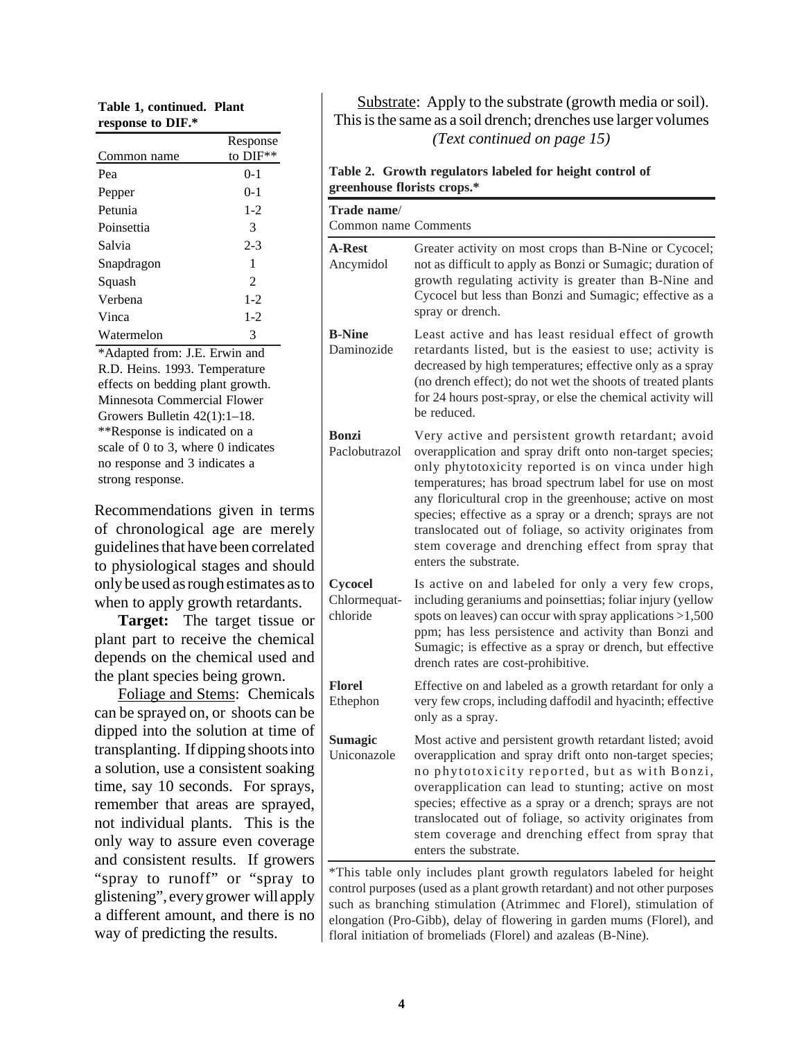| Table 1, continued. Plant |  |
|---------------------------|--|
| response to DIF.*         |  |

|             | Response       |
|-------------|----------------|
| Common name | to DIF**       |
| Pea         | $0-1$          |
| Pepper      | $0-1$          |
| Petunia     | $1 - 2$        |
| Poinsettia  | 3              |
| Salvia      | $2 - 3$        |
| Snapdragon  | 1              |
| Squash      | $\mathfrak{D}$ |
| Verbena     | $1 - 2$        |
| Vinca       | $1 - 2$        |
| Watermelon  | 3              |

\*Adapted from: J.E. Erwin and R.D. Heins. 1993. Temperature effects on bedding plant growth. Minnesota Commercial Flower Growers Bulletin 42(1):1–18. \*\*Response is indicated on a scale of 0 to 3, where 0 indicates no response and 3 indicates a strong response.

Recommendations given in terms of chronological age are merely guidelines that have been correlated to physiological stages and should only be used as rough estimates as to when to apply growth retardants.

**Target:** The target tissue or plant part to receive the chemical depends on the chemical used and the plant species being grown.

Foliage and Stems: Chemicals can be sprayed on, or shoots can be dipped into the solution at time of transplanting. If dipping shoots into a solution, use a consistent soaking time, say 10 seconds. For sprays, remember that areas are sprayed, not individual plants. This is the only way to assure even coverage and consistent results. If growers "spray to runoff" or "spray to glistening", every grower will apply a different amount, and there is no way of predicting the results.

#### Substrate: Apply to the substrate (growth media or soil). This is the same as a soil drench; drenches use larger volumes *(Text continued on page 15)*

#### **Table 2. Growth regulators labeled for height control of greenhouse florists crops.\***

| Trade name/<br>Common name Comments |                                                                                                                                                                                                                                                                                                                                                                                                                                                                                                    |
|-------------------------------------|----------------------------------------------------------------------------------------------------------------------------------------------------------------------------------------------------------------------------------------------------------------------------------------------------------------------------------------------------------------------------------------------------------------------------------------------------------------------------------------------------|
| <b>A-Rest</b><br>Ancymidol          | Greater activity on most crops than B-Nine or Cycocel;<br>not as difficult to apply as Bonzi or Sumagic; duration of<br>growth regulating activity is greater than B-Nine and<br>Cycocel but less than Bonzi and Sumagic; effective as a<br>spray or drench.                                                                                                                                                                                                                                       |
| <b>B-Nine</b><br>Daminozide         | Least active and has least residual effect of growth<br>retardants listed, but is the easiest to use; activity is<br>decreased by high temperatures; effective only as a spray<br>(no drench effect); do not wet the shoots of treated plants<br>for 24 hours post-spray, or else the chemical activity will<br>be reduced.                                                                                                                                                                        |
| <b>Bonzi</b><br>Paclobutrazol       | Very active and persistent growth retardant; avoid<br>overapplication and spray drift onto non-target species;<br>only phytotoxicity reported is on vinca under high<br>temperatures; has broad spectrum label for use on most<br>any floricultural crop in the greenhouse; active on most<br>species; effective as a spray or a drench; sprays are not<br>translocated out of foliage, so activity originates from<br>stem coverage and drenching effect from spray that<br>enters the substrate. |
| Cycocel<br>Chlormequat-<br>chloride | Is active on and labeled for only a very few crops,<br>including geraniums and poinsettias; foliar injury (yellow<br>spots on leaves) can occur with spray applications $>1,500$<br>ppm; has less persistence and activity than Bonzi and<br>Sumagic; is effective as a spray or drench, but effective<br>drench rates are cost-prohibitive.                                                                                                                                                       |
| <b>Florel</b><br>Ethephon           | Effective on and labeled as a growth retardant for only a<br>very few crops, including daffodil and hyacinth; effective<br>only as a spray.                                                                                                                                                                                                                                                                                                                                                        |
| <b>Sumagic</b><br>Uniconazole       | Most active and persistent growth retardant listed; avoid<br>overapplication and spray drift onto non-target species;<br>no phytotoxicity reported, but as with Bonzi,<br>overapplication can lead to stunting; active on most<br>species; effective as a spray or a drench; sprays are not<br>translocated out of foliage, so activity originates from<br>stem coverage and drenching effect from spray that<br>enters the substrate.                                                             |

\*This table only includes plant growth regulators labeled for height control purposes (used as a plant growth retardant) and not other purposes such as branching stimulation (Atrimmec and Florel), stimulation of elongation (Pro-Gibb), delay of flowering in garden mums (Florel), and floral initiation of bromeliads (Florel) and azaleas (B-Nine).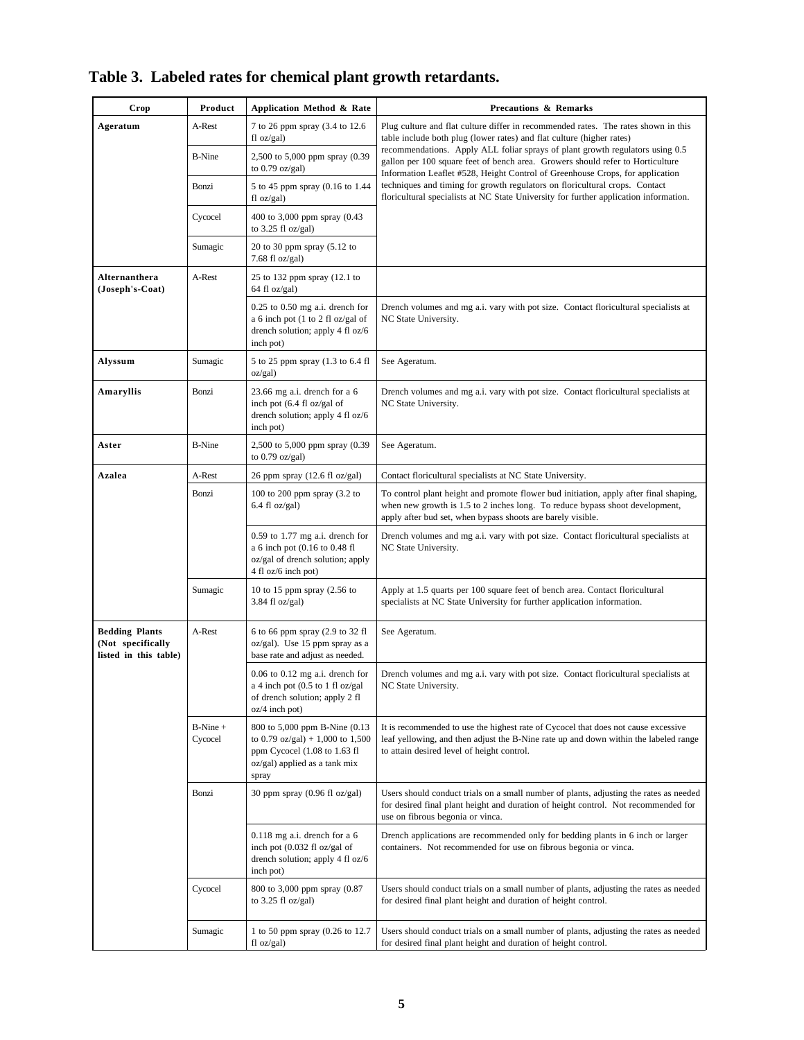| Crop                                                                | Product                                          | Application Method & Rate                                                                                                                                                                                                            | <b>Precautions &amp; Remarks</b>                                                                                                                                                                                                                 |
|---------------------------------------------------------------------|--------------------------------------------------|--------------------------------------------------------------------------------------------------------------------------------------------------------------------------------------------------------------------------------------|--------------------------------------------------------------------------------------------------------------------------------------------------------------------------------------------------------------------------------------------------|
| Ageratum                                                            | A-Rest                                           | 7 to 26 ppm spray (3.4 to 12.6<br>fl oz/gal)                                                                                                                                                                                         | Plug culture and flat culture differ in recommended rates. The rates shown in this<br>table include both plug (lower rates) and flat culture (higher rates)                                                                                      |
|                                                                     | <b>B-Nine</b>                                    | 2,500 to 5,000 ppm spray (0.39<br>to $0.79$ oz/gal)                                                                                                                                                                                  | recommendations. Apply ALL foliar sprays of plant growth regulators using 0.5<br>gallon per 100 square feet of bench area. Growers should refer to Horticulture<br>Information Leaflet #528, Height Control of Greenhouse Crops, for application |
|                                                                     | Bonzi                                            | 5 to 45 ppm spray (0.16 to 1.44<br>$fl$ oz/gal)                                                                                                                                                                                      | techniques and timing for growth regulators on floricultural crops. Contact<br>floricultural specialists at NC State University for further application information.                                                                             |
|                                                                     | Cycocel                                          | 400 to 3,000 ppm spray (0.43<br>to $3.25$ fl oz/gal)                                                                                                                                                                                 |                                                                                                                                                                                                                                                  |
|                                                                     | Sumagic                                          | 20 to 30 ppm spray $(5.12 \text{ to }$<br>$7.68$ fl oz/gal)                                                                                                                                                                          |                                                                                                                                                                                                                                                  |
| <b>Alternanthera</b><br>(Joseph's-Coat)                             | A-Rest                                           | 25 to 132 ppm spray (12.1 to<br>64 fl oz/gal)                                                                                                                                                                                        |                                                                                                                                                                                                                                                  |
|                                                                     |                                                  | $0.25$ to $0.50$ mg a.i. drench for<br>a 6 inch pot (1 to 2 fl oz/gal of<br>drench solution; apply 4 fl $oz/6$<br>inch pot)                                                                                                          | Drench volumes and mg a.i. vary with pot size. Contact floricultural specialists at<br>NC State University.                                                                                                                                      |
| Alyssum                                                             | Sumagic                                          | 5 to 25 ppm spray (1.3 to 6.4 fl<br>oz/gal)                                                                                                                                                                                          | See Ageratum.                                                                                                                                                                                                                                    |
| Amaryllis                                                           | Bonzi                                            | 23.66 mg a.i. drench for a 6<br>inch pot (6.4 fl oz/gal of<br>drench solution; apply 4 fl oz/6<br>inch pot)                                                                                                                          | Drench volumes and mg a.i. vary with pot size. Contact floricultural specialists at<br>NC State University.                                                                                                                                      |
| Aster                                                               | <b>B-Nine</b>                                    | 2,500 to 5,000 ppm spray (0.39<br>to 0.79 oz/gal)                                                                                                                                                                                    | See Ageratum.                                                                                                                                                                                                                                    |
| Azalea                                                              | A-Rest                                           | 26 ppm spray (12.6 fl oz/gal)                                                                                                                                                                                                        | Contact floricultural specialists at NC State University.                                                                                                                                                                                        |
| Bonzi                                                               | 100 to 200 ppm spray (3.2 to<br>$6.4$ fl oz/gal) | To control plant height and promote flower bud initiation, apply after final shaping,<br>when new growth is 1.5 to 2 inches long. To reduce bypass shoot development,<br>apply after bud set, when bypass shoots are barely visible. |                                                                                                                                                                                                                                                  |
|                                                                     |                                                  | $0.59$ to 1.77 mg a.i. drench for<br>a 6 inch pot (0.16 to 0.48 fl<br>oz/gal of drench solution; apply<br>4 fl oz/6 inch pot)                                                                                                        | Drench volumes and mg a.i. vary with pot size. Contact floricultural specialists at<br>NC State University.                                                                                                                                      |
|                                                                     | Sumagic                                          | 10 to 15 ppm spray (2.56 to<br>$3.84$ fl oz/gal)                                                                                                                                                                                     | Apply at 1.5 quarts per 100 square feet of bench area. Contact floricultural<br>specialists at NC State University for further application information.                                                                                          |
| <b>Bedding Plants</b><br>(Not specifically<br>listed in this table) | A-Rest                                           | 6 to 66 ppm spray (2.9 to 32 fl<br>oz/gal). Use 15 ppm spray as a<br>base rate and adjust as needed.                                                                                                                                 | See Ageratum.                                                                                                                                                                                                                                    |
|                                                                     |                                                  | $0.06$ to $0.12$ mg a.i. drench for<br>a 4 inch pot $(0.5$ to 1 fl oz/gal<br>of drench solution; apply 2 fl<br>$oz/4$ inch pot)                                                                                                      | Drench volumes and mg a.i. vary with pot size. Contact floricultural specialists at<br>NC State University.                                                                                                                                      |
|                                                                     | $B-Nine +$<br>Cycocel                            | 800 to 5,000 ppm B-Nine (0.13)<br>to 0.79 oz/gal) + 1,000 to 1,500<br>ppm Cycocel $(1.08 \text{ to } 1.63 \text{ fl})$<br>oz/gal) applied as a tank mix<br>spray                                                                     | It is recommended to use the highest rate of Cycocel that does not cause excessive<br>leaf yellowing, and then adjust the B-Nine rate up and down within the labeled range<br>to attain desired level of height control.                         |
|                                                                     | Bonzi                                            | 30 ppm spray $(0.96 \text{ fl oz/gal})$                                                                                                                                                                                              | Users should conduct trials on a small number of plants, adjusting the rates as needed<br>for desired final plant height and duration of height control. Not recommended for<br>use on fibrous begonia or vinca.                                 |
|                                                                     |                                                  | $0.118$ mg a.i. drench for a 6<br>inch pot (0.032 fl oz/gal of<br>drench solution; apply 4 fl oz/6<br>inch pot)                                                                                                                      | Drench applications are recommended only for bedding plants in 6 inch or larger<br>containers. Not recommended for use on fibrous begonia or vinca.                                                                                              |
|                                                                     | Cycocel                                          | 800 to 3,000 ppm spray (0.87<br>to $3.25$ fl oz/gal)                                                                                                                                                                                 | Users should conduct trials on a small number of plants, adjusting the rates as needed<br>for desired final plant height and duration of height control.                                                                                         |
|                                                                     | Sumagic                                          | 1 to 50 ppm spray (0.26 to 12.7)<br>$fl$ oz/gal)                                                                                                                                                                                     | Users should conduct trials on a small number of plants, adjusting the rates as needed<br>for desired final plant height and duration of height control.                                                                                         |

|  |  |  |  |  |  |  | Table 3. Labeled rates for chemical plant growth retardants. |
|--|--|--|--|--|--|--|--------------------------------------------------------------|
|--|--|--|--|--|--|--|--------------------------------------------------------------|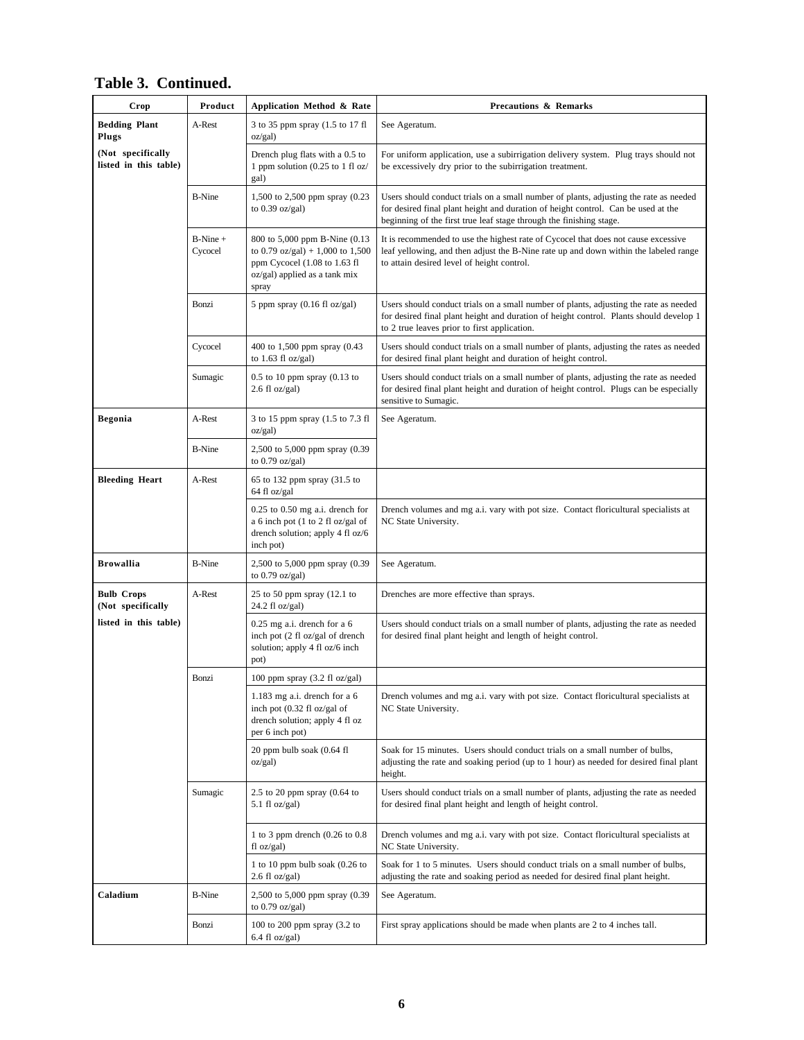| Crop                                       | Product               | Application Method & Rate                                                                                                                    | <b>Precautions &amp; Remarks</b>                                                                                                                                                                                                                  |
|--------------------------------------------|-----------------------|----------------------------------------------------------------------------------------------------------------------------------------------|---------------------------------------------------------------------------------------------------------------------------------------------------------------------------------------------------------------------------------------------------|
| <b>Bedding Plant</b><br>Plugs              | A-Rest                | 3 to 35 ppm spray (1.5 to 17 fl<br>oz/gal)                                                                                                   | See Ageratum.                                                                                                                                                                                                                                     |
| (Not specifically<br>listed in this table) |                       | Drench plug flats with a 0.5 to<br>1 ppm solution (0.25 to 1 fl oz/<br>gal)                                                                  | For uniform application, use a subirrigation delivery system. Plug trays should not<br>be excessively dry prior to the subirrigation treatment.                                                                                                   |
|                                            | <b>B-Nine</b>         | 1,500 to 2,500 ppm spray (0.23<br>to $0.39$ oz/gal)                                                                                          | Users should conduct trials on a small number of plants, adjusting the rate as needed<br>for desired final plant height and duration of height control. Can be used at the<br>beginning of the first true leaf stage through the finishing stage. |
|                                            | $B-Nine +$<br>Cycocel | 800 to 5,000 ppm B-Nine (0.13)<br>to 0.79 oz/gal) + 1,000 to 1,500<br>ppm Cycocel (1.08 to 1.63 fl<br>oz/gal) applied as a tank mix<br>spray | It is recommended to use the highest rate of Cycocel that does not cause excessive<br>leaf yellowing, and then adjust the B-Nine rate up and down within the labeled range<br>to attain desired level of height control.                          |
|                                            | Bonzi                 | 5 ppm spray $(0.16 \text{ fl oz/gal})$                                                                                                       | Users should conduct trials on a small number of plants, adjusting the rate as needed<br>for desired final plant height and duration of height control. Plants should develop 1<br>to 2 true leaves prior to first application.                   |
|                                            | Cycocel               | 400 to 1,500 ppm spray (0.43<br>to $1.63$ fl oz/gal)                                                                                         | Users should conduct trials on a small number of plants, adjusting the rates as needed<br>for desired final plant height and duration of height control.                                                                                          |
|                                            | Sumagic               | $0.5$ to 10 ppm spray $(0.13$ to<br>$2.6 \text{ fl oz/gal}$                                                                                  | Users should conduct trials on a small number of plants, adjusting the rate as needed<br>for desired final plant height and duration of height control. Plugs can be especially<br>sensitive to Sumagic.                                          |
| <b>Begonia</b>                             | A-Rest                | 3 to 15 ppm spray (1.5 to 7.3 fl<br>oz/gal)                                                                                                  | See Ageratum.                                                                                                                                                                                                                                     |
|                                            | <b>B-Nine</b>         | 2,500 to 5,000 ppm spray (0.39<br>to $0.79$ oz/gal)                                                                                          |                                                                                                                                                                                                                                                   |
| <b>Bleeding Heart</b>                      | A-Rest                | 65 to 132 ppm spray (31.5 to<br>64 fl oz/gal                                                                                                 |                                                                                                                                                                                                                                                   |
|                                            |                       | $0.25$ to $0.50$ mg a.i. drench for<br>a 6 inch pot (1 to 2 fl oz/gal of<br>drench solution; apply 4 fl oz/6<br>inch pot)                    | Drench volumes and mg a.i. vary with pot size. Contact floricultural specialists at<br>NC State University.                                                                                                                                       |
| <b>Browallia</b>                           | <b>B-Nine</b>         | 2,500 to 5,000 ppm spray (0.39<br>to $0.79$ oz/gal)                                                                                          | See Ageratum.                                                                                                                                                                                                                                     |
| <b>Bulb Crops</b><br>(Not specifically     | A-Rest                | 25 to 50 ppm spray (12.1 to<br>$24.2$ fl oz/gal)                                                                                             | Drenches are more effective than sprays.                                                                                                                                                                                                          |
| listed in this table)                      |                       | $0.25$ mg a.i. drench for a 6<br>inch pot (2 fl oz/gal of drench<br>solution; apply 4 fl oz/6 inch<br>pot)                                   | Users should conduct trials on a small number of plants, adjusting the rate as needed<br>for desired final plant height and length of height control.                                                                                             |
|                                            | Bonzi                 | 100 ppm spray $(3.2 \text{ fl oz/gal})$                                                                                                      |                                                                                                                                                                                                                                                   |
|                                            |                       | 1.183 mg a.i. drench for a 6<br>inch pot (0.32 fl oz/gal of<br>drench solution; apply 4 fl oz<br>per 6 inch pot)                             | Drench volumes and mg a.i. vary with pot size. Contact floricultural specialists at<br>NC State University.                                                                                                                                       |
|                                            |                       | 20 ppm bulb soak (0.64 fl<br>oz/gal)                                                                                                         | Soak for 15 minutes. Users should conduct trials on a small number of bulbs,<br>adjusting the rate and soaking period (up to 1 hour) as needed for desired final plant<br>height.                                                                 |
|                                            | Sumagic               | 2.5 to 20 ppm spray $(0.64)$ to<br>5.1 fl $oz/gal$ )                                                                                         | Users should conduct trials on a small number of plants, adjusting the rate as needed<br>for desired final plant height and length of height control.                                                                                             |
|                                            |                       | 1 to 3 ppm drench $(0.26 \text{ to } 0.8)$<br>fl oz/gal)                                                                                     | Drench volumes and mg a.i. vary with pot size. Contact floricultural specialists at<br>NC State University.                                                                                                                                       |
|                                            |                       | 1 to 10 ppm bulb soak $(0.26$ to<br>$2.6 \text{ fl oz/gal}$                                                                                  | Soak for 1 to 5 minutes. Users should conduct trials on a small number of bulbs,<br>adjusting the rate and soaking period as needed for desired final plant height.                                                                               |
| Caladium                                   | <b>B-Nine</b>         | 2,500 to 5,000 ppm spray (0.39<br>to $0.79$ oz/gal)                                                                                          | See Ageratum.                                                                                                                                                                                                                                     |
|                                            | Bonzi                 | 100 to 200 ppm spray $(3.2 \text{ to }$<br>6.4 fl oz/gal)                                                                                    | First spray applications should be made when plants are 2 to 4 inches tall.                                                                                                                                                                       |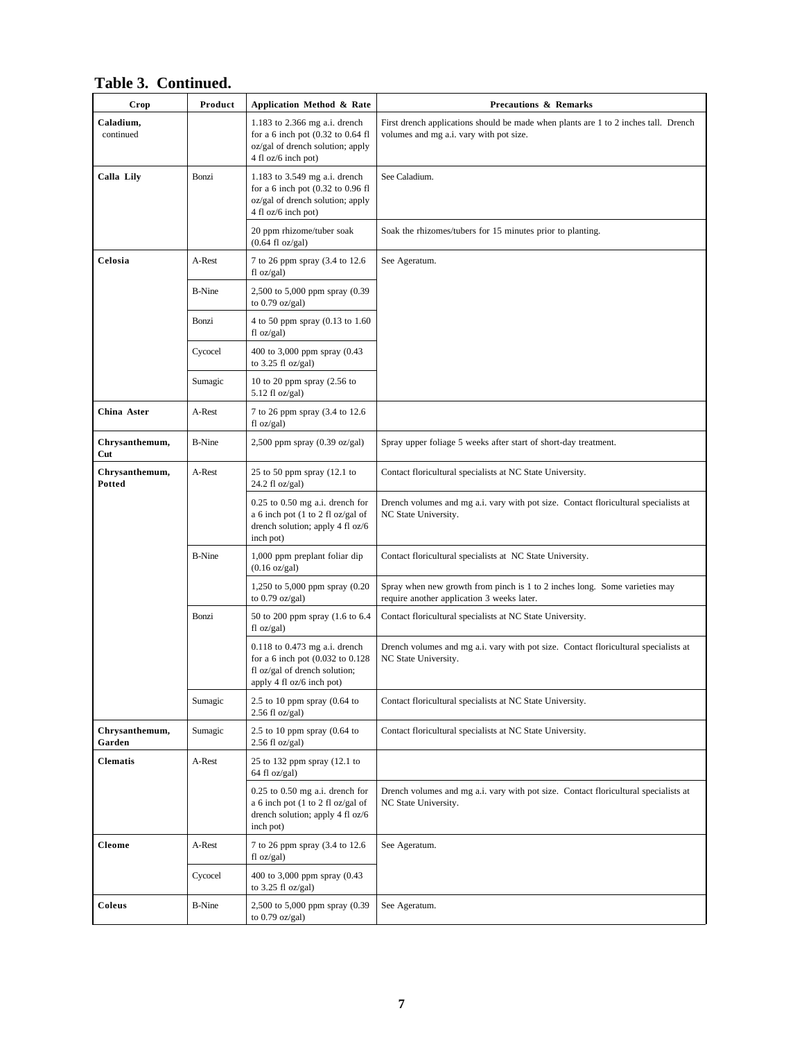| Crop                     | Product       | Application Method & Rate                                                                                                            | <b>Precautions &amp; Remarks</b>                                                                                               |
|--------------------------|---------------|--------------------------------------------------------------------------------------------------------------------------------------|--------------------------------------------------------------------------------------------------------------------------------|
| Caladium,<br>continued   |               | 1.183 to 2.366 mg a.i. drench<br>for a 6 inch pot $(0.32$ to $0.64$ fl<br>oz/gal of drench solution; apply<br>4 fl oz/6 inch pot)    | First drench applications should be made when plants are 1 to 2 inches tall. Drench<br>volumes and mg a.i. vary with pot size. |
| Calla Lily               | Bonzi         | 1.183 to 3.549 mg a.i. drench<br>for a 6 inch pot $(0.32$ to $0.96$ fl<br>oz/gal of drench solution; apply<br>4 fl oz/6 inch pot)    | See Caladium.                                                                                                                  |
|                          |               | 20 ppm rhizome/tuber soak<br>$(0.64 \text{ fl oz/gal})$                                                                              | Soak the rhizomes/tubers for 15 minutes prior to planting.                                                                     |
| Celosia                  | A-Rest        | 7 to 26 ppm spray (3.4 to 12.6<br>fl oz/gal)                                                                                         | See Ageratum.                                                                                                                  |
|                          | <b>B-Nine</b> | 2,500 to 5,000 ppm spray (0.39)<br>to $0.79$ oz/gal)                                                                                 |                                                                                                                                |
|                          | Bonzi         | 4 to 50 ppm spray (0.13 to 1.60<br>fl oz/gal)                                                                                        |                                                                                                                                |
|                          | Cycocel       | 400 to 3,000 ppm spray (0.43<br>to $3.25$ fl oz/gal)                                                                                 |                                                                                                                                |
|                          | Sumagic       | 10 to 20 ppm spray $(2.56 \text{ to }$<br>$5.12$ fl oz/gal)                                                                          |                                                                                                                                |
| China Aster              | A-Rest        | 7 to 26 ppm spray (3.4 to 12.6)<br>fl oz/gal)                                                                                        |                                                                                                                                |
| Chrysanthemum,<br>Cut    | <b>B-Nine</b> | $2,500$ ppm spray $(0.39 \text{ oz/gal})$                                                                                            | Spray upper foliage 5 weeks after start of short-day treatment.                                                                |
| Chrysanthemum,<br>Potted | A-Rest        | 25 to 50 ppm spray (12.1 to<br>24.2 fl oz/gal)                                                                                       | Contact floricultural specialists at NC State University.                                                                      |
|                          |               | $0.25$ to $0.50$ mg a.i. drench for<br>a 6 inch pot (1 to 2 fl oz/gal of<br>drench solution; apply 4 fl oz/6<br>inch pot)            | Drench volumes and mg a.i. vary with pot size. Contact floricultural specialists at<br>NC State University.                    |
|                          | <b>B-Nine</b> | 1,000 ppm preplant foliar dip<br>$(0.16 \text{ oz/gal})$                                                                             | Contact floricultural specialists at NC State University.                                                                      |
|                          |               | 1,250 to 5,000 ppm spray (0.20<br>to $0.79$ oz/gal)                                                                                  | Spray when new growth from pinch is 1 to 2 inches long. Some varieties may<br>require another application 3 weeks later.       |
|                          | Bonzi         | 50 to 200 ppm spray (1.6 to 6.4)<br>fl oz/gal)                                                                                       | Contact floricultural specialists at NC State University.                                                                      |
|                          |               | $0.118$ to $0.473$ mg a.i. drench<br>for a 6 inch pot (0.032 to 0.128)<br>fl oz/gal of drench solution;<br>apply 4 fl oz/6 inch pot) | Drench volumes and mg a.i. vary with pot size. Contact floricultural specialists at<br>NC State University.                    |
|                          | Sumagic       | 2.5 to 10 ppm spray $(0.64)$ to<br>$2.56$ fl oz/gal)                                                                                 | Contact floricultural specialists at NC State University.                                                                      |
| Chrysanthemum,<br>Garden | Sumagic       | 2.5 to 10 ppm spray $(0.64$ to<br>$2.56$ fl oz/gal)                                                                                  | Contact floricultural specialists at NC State University.                                                                      |
| <b>Clematis</b>          | A-Rest        | 25 to 132 ppm spray (12.1 to<br>64 fl oz/gal)                                                                                        |                                                                                                                                |
|                          |               | $0.25$ to $0.50$ mg a.i. drench for<br>a 6 inch pot (1 to 2 fl oz/gal of<br>drench solution; apply 4 fl oz/6<br>inch pot)            | Drench volumes and mg a.i. vary with pot size. Contact floricultural specialists at<br>NC State University.                    |
| <b>Cleome</b>            | A-Rest        | 7 to 26 ppm spray (3.4 to 12.6<br>fl oz/gal)                                                                                         | See Ageratum.                                                                                                                  |
|                          | Cycocel       | 400 to 3,000 ppm spray (0.43)<br>to $3.25$ fl oz/gal)                                                                                |                                                                                                                                |
| Coleus                   | <b>B-Nine</b> | 2,500 to 5,000 ppm spray (0.39<br>to $0.79$ oz/gal)                                                                                  | See Ageratum.                                                                                                                  |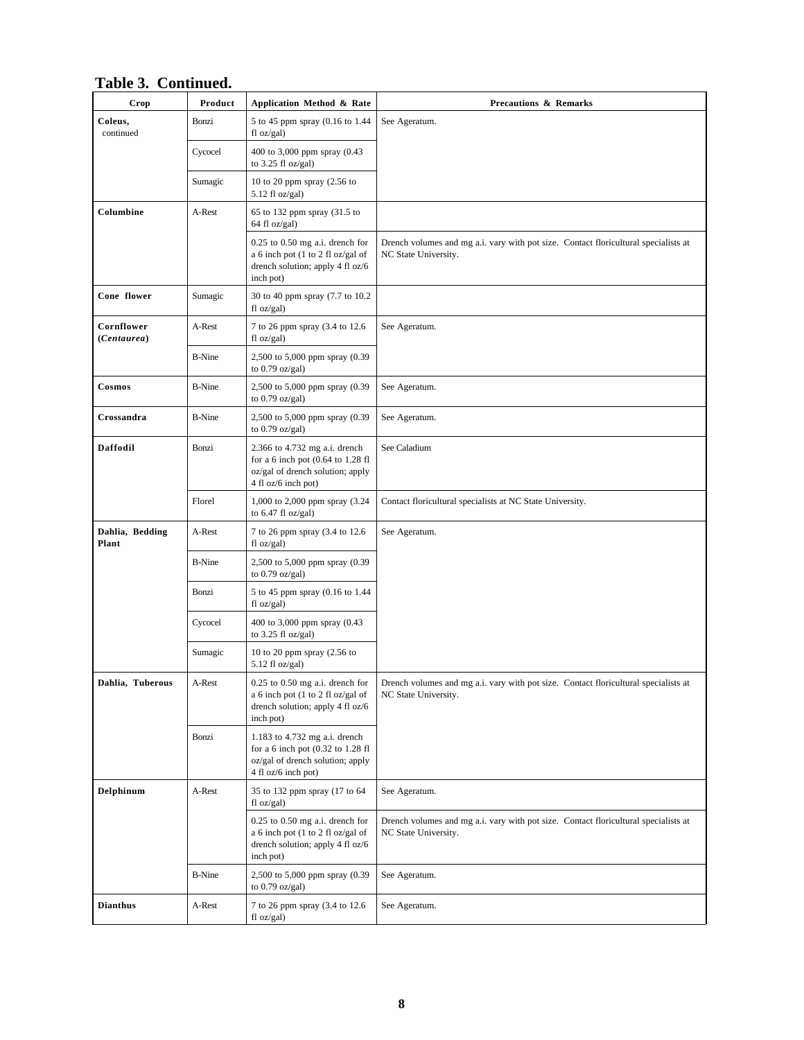| Crop                      | Product       | Application Method & Rate                                                                                                     | <b>Precautions &amp; Remarks</b>                                                                            |
|---------------------------|---------------|-------------------------------------------------------------------------------------------------------------------------------|-------------------------------------------------------------------------------------------------------------|
| Coleus,<br>continued      | Bonzi         | 5 to 45 ppm spray (0.16 to 1.44<br>fl oz/gal)                                                                                 | See Ageratum.                                                                                               |
|                           | Cycocel       | 400 to 3,000 ppm spray (0.43<br>to $3.25$ fl oz/gal)                                                                          |                                                                                                             |
|                           | Sumagic       | 10 to 20 ppm spray $(2.56$ to<br>$5.12$ fl oz/gal)                                                                            |                                                                                                             |
| Columbine                 | A-Rest        | 65 to 132 ppm spray (31.5 to<br>64 fl oz/gal)                                                                                 |                                                                                                             |
|                           |               | $0.25$ to $0.50$ mg a.i. drench for<br>a 6 inch pot (1 to 2 fl oz/gal of<br>drench solution; apply 4 fl oz/6<br>inch pot)     | Drench volumes and mg a.i. vary with pot size. Contact floricultural specialists at<br>NC State University. |
| Cone flower               | Sumagic       | 30 to 40 ppm spray (7.7 to 10.2)<br>fl oz/gal)                                                                                |                                                                                                             |
| Cornflower<br>(Centaurea) | A-Rest        | 7 to 26 ppm spray (3.4 to 12.6<br>fl oz/gal)                                                                                  | See Ageratum.                                                                                               |
|                           | <b>B-Nine</b> | 2,500 to 5,000 ppm spray (0.39)<br>to $0.79$ oz/gal)                                                                          |                                                                                                             |
| Cosmos                    | <b>B-Nine</b> | 2,500 to 5,000 ppm spray (0.39)<br>to $0.79$ oz/gal)                                                                          | See Ageratum.                                                                                               |
| Crossandra                | <b>B-Nine</b> | 2,500 to 5,000 ppm spray (0.39<br>to $0.79$ oz/gal)                                                                           | See Ageratum.                                                                                               |
| Daffodil                  | Bonzi         | 2.366 to 4.732 mg a.i. drench<br>for a 6 inch pot (0.64 to 1.28 fl<br>oz/gal of drench solution; apply<br>4 fl oz/6 inch pot) | See Caladium                                                                                                |
|                           | Florel        | 1,000 to 2,000 ppm spray (3.24)<br>to $6.47$ fl oz/gal)                                                                       | Contact floricultural specialists at NC State University.                                                   |
| Dahlia, Bedding<br>Plant  | A-Rest        | 7 to 26 ppm spray (3.4 to 12.6<br>fl oz/gal)                                                                                  | See Ageratum.                                                                                               |
|                           | <b>B-Nine</b> | 2,500 to 5,000 ppm spray (0.39<br>to $0.79$ oz/gal)                                                                           |                                                                                                             |
|                           | Bonzi         | 5 to 45 ppm spray (0.16 to 1.44<br>fl oz/gal)                                                                                 |                                                                                                             |
|                           | Cycocel       | 400 to 3,000 ppm spray (0.43<br>to $3.25$ fl oz/gal)                                                                          |                                                                                                             |
|                           | Sumagic       | 10 to 20 ppm spray (2.56 to<br>$5.12$ fl oz/gal)                                                                              |                                                                                                             |
| Dahlia, Tuberous          | A-Rest        | $0.25$ to $0.50$ mg a.i. drench for<br>a 6 inch pot (1 to 2 fl oz/gal of<br>drench solution; apply 4 fl oz/6<br>inch pot)     | Drench volumes and mg a.i. vary with pot size. Contact floricultural specialists at<br>NC State University. |
|                           | Bonzi         | 1.183 to 4.732 mg a.i. drench<br>for a 6 inch pot (0.32 to 1.28 fl<br>oz/gal of drench solution; apply<br>4 fl oz/6 inch pot) |                                                                                                             |
| Delphinum                 | A-Rest        | 35 to 132 ppm spray (17 to 64<br>fl oz/gal)                                                                                   | See Ageratum.                                                                                               |
|                           |               | $0.25$ to $0.50$ mg a.i. drench for<br>a 6 inch pot (1 to 2 fl oz/gal of<br>drench solution; apply 4 fl oz/6<br>inch pot)     | Drench volumes and mg a.i. vary with pot size. Contact floricultural specialists at<br>NC State University. |
|                           | <b>B-Nine</b> | 2,500 to 5,000 ppm spray (0.39<br>to $0.79$ oz/gal)                                                                           | See Ageratum.                                                                                               |
| <b>Dianthus</b>           | A-Rest        | 7 to 26 ppm spray (3.4 to 12.6<br>f1 oz/gal                                                                                   | See Ageratum.                                                                                               |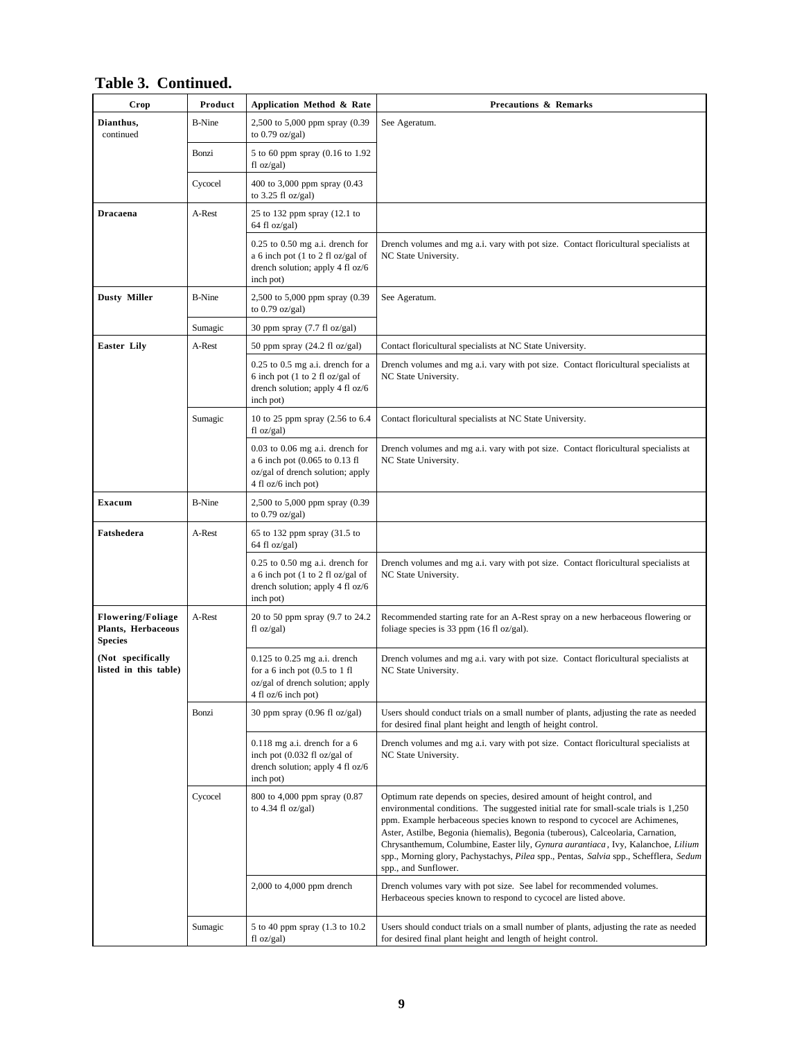| Crop                                                             | Product       | Application Method & Rate                                                                                                        | <b>Precautions &amp; Remarks</b>                                                                                                                                                                                                                                                                                                                                                                                                                                                                                                     |
|------------------------------------------------------------------|---------------|----------------------------------------------------------------------------------------------------------------------------------|--------------------------------------------------------------------------------------------------------------------------------------------------------------------------------------------------------------------------------------------------------------------------------------------------------------------------------------------------------------------------------------------------------------------------------------------------------------------------------------------------------------------------------------|
| Dianthus,<br>continued                                           | <b>B-Nine</b> | 2,500 to 5,000 ppm spray (0.39<br>to $0.79$ oz/gal)                                                                              | See Ageratum.                                                                                                                                                                                                                                                                                                                                                                                                                                                                                                                        |
|                                                                  | Bonzi         | 5 to 60 ppm spray (0.16 to 1.92<br>fl oz/gal)                                                                                    |                                                                                                                                                                                                                                                                                                                                                                                                                                                                                                                                      |
|                                                                  | Cycocel       | 400 to 3,000 ppm spray (0.43<br>to $3.25$ fl oz/gal)                                                                             |                                                                                                                                                                                                                                                                                                                                                                                                                                                                                                                                      |
| <b>Dracaena</b>                                                  | A-Rest        | 25 to 132 ppm spray (12.1 to<br>64 fl oz/gal)                                                                                    |                                                                                                                                                                                                                                                                                                                                                                                                                                                                                                                                      |
|                                                                  |               | $0.25$ to $0.50$ mg a.i. drench for<br>a 6 inch pot (1 to 2 fl oz/gal of<br>drench solution; apply 4 fl oz/6<br>inch pot)        | Drench volumes and mg a.i. vary with pot size. Contact floricultural specialists at<br>NC State University.                                                                                                                                                                                                                                                                                                                                                                                                                          |
| <b>Dusty Miller</b>                                              | <b>B-Nine</b> | 2,500 to 5,000 ppm spray (0.39<br>to $0.79$ oz/gal)                                                                              | See Ageratum.                                                                                                                                                                                                                                                                                                                                                                                                                                                                                                                        |
|                                                                  | Sumagic       | 30 ppm spray $(7.7 \text{ fl oz/gal})$                                                                                           |                                                                                                                                                                                                                                                                                                                                                                                                                                                                                                                                      |
| <b>Easter Lily</b>                                               | A-Rest        | 50 ppm spray $(24.2 \text{ fl oz/gal})$                                                                                          | Contact floricultural specialists at NC State University.                                                                                                                                                                                                                                                                                                                                                                                                                                                                            |
|                                                                  |               | $0.25$ to $0.5$ mg a.i. drench for a<br>6 inch pot (1 to 2 fl oz/gal of<br>drench solution; apply 4 fl oz/6<br>inch pot)         | Drench volumes and mg a.i. vary with pot size. Contact floricultural specialists at<br>NC State University.                                                                                                                                                                                                                                                                                                                                                                                                                          |
|                                                                  | Sumagic       | 10 to 25 ppm spray (2.56 to 6.4<br>fl oz/gal)                                                                                    | Contact floricultural specialists at NC State University.                                                                                                                                                                                                                                                                                                                                                                                                                                                                            |
|                                                                  |               | $0.03$ to $0.06$ mg a.i. drench for<br>a 6 inch pot (0.065 to 0.13 fl<br>oz/gal of drench solution; apply<br>4 fl oz/6 inch pot) | Drench volumes and mg a.i. vary with pot size. Contact floricultural specialists at<br>NC State University.                                                                                                                                                                                                                                                                                                                                                                                                                          |
| Exacum                                                           | <b>B-Nine</b> | 2,500 to 5,000 ppm spray (0.39<br>to $0.79$ oz/gal)                                                                              |                                                                                                                                                                                                                                                                                                                                                                                                                                                                                                                                      |
| Fatshedera                                                       | A-Rest        | 65 to 132 ppm spray (31.5 to<br>64 fl oz/gal)                                                                                    |                                                                                                                                                                                                                                                                                                                                                                                                                                                                                                                                      |
|                                                                  |               | $0.25$ to $0.50$ mg a.i. drench for<br>a 6 inch pot (1 to 2 fl oz/gal of<br>drench solution; apply 4 fl oz/6<br>inch pot)        | Drench volumes and mg a.i. vary with pot size. Contact floricultural specialists at<br>NC State University.                                                                                                                                                                                                                                                                                                                                                                                                                          |
| <b>Flowering/Foliage</b><br>Plants, Herbaceous<br><b>Species</b> | A-Rest        | 20 to 50 ppm spray (9.7 to 24.2)<br>fl oz/gal)                                                                                   | Recommended starting rate for an A-Rest spray on a new herbaceous flowering or<br>foliage species is 33 ppm (16 fl $oz/gal$ ).                                                                                                                                                                                                                                                                                                                                                                                                       |
| (Not specifically<br>listed in this table)                       |               | $0.125$ to $0.25$ mg a.i. drench<br>for a 6 inch pot $(0.5$ to 1 fl<br>oz/gal of drench solution; apply<br>4 fl oz/6 inch pot)   | Drench volumes and mg a.i. vary with pot size. Contact floricultural specialists at<br>NC State University.                                                                                                                                                                                                                                                                                                                                                                                                                          |
|                                                                  | Bonzi         | 30 ppm spray (0.96 fl oz/gal)                                                                                                    | Users should conduct trials on a small number of plants, adjusting the rate as needed<br>for desired final plant height and length of height control.                                                                                                                                                                                                                                                                                                                                                                                |
|                                                                  |               | $0.118$ mg a.i. drench for a 6<br>inch pot (0.032 fl oz/gal of<br>drench solution; apply 4 fl oz/6<br>inch pot)                  | Drench volumes and mg a.i. vary with pot size. Contact floricultural specialists at<br>NC State University.                                                                                                                                                                                                                                                                                                                                                                                                                          |
|                                                                  | Cycocel       | 800 to 4,000 ppm spray (0.87<br>to $4.34$ fl oz/gal)                                                                             | Optimum rate depends on species, desired amount of height control, and<br>environmental conditions. The suggested initial rate for small-scale trials is 1,250<br>ppm. Example herbaceous species known to respond to cycocel are Achimenes,<br>Aster, Astilbe, Begonia (hiemalis), Begonia (tuberous), Calceolaria, Carnation,<br>Chrysanthemum, Columbine, Easter lily, Gynura aurantiaca, Ivy, Kalanchoe, Lilium<br>spp., Morning glory, Pachystachys, Pilea spp., Pentas, Salvia spp., Schefflera, Sedum<br>spp., and Sunflower. |
|                                                                  |               | 2,000 to 4,000 ppm drench                                                                                                        | Drench volumes vary with pot size. See label for recommended volumes.<br>Herbaceous species known to respond to cycocel are listed above.                                                                                                                                                                                                                                                                                                                                                                                            |
|                                                                  | Sumagic       | 5 to 40 ppm spray (1.3 to 10.2)<br>fl oz/gal)                                                                                    | Users should conduct trials on a small number of plants, adjusting the rate as needed<br>for desired final plant height and length of height control.                                                                                                                                                                                                                                                                                                                                                                                |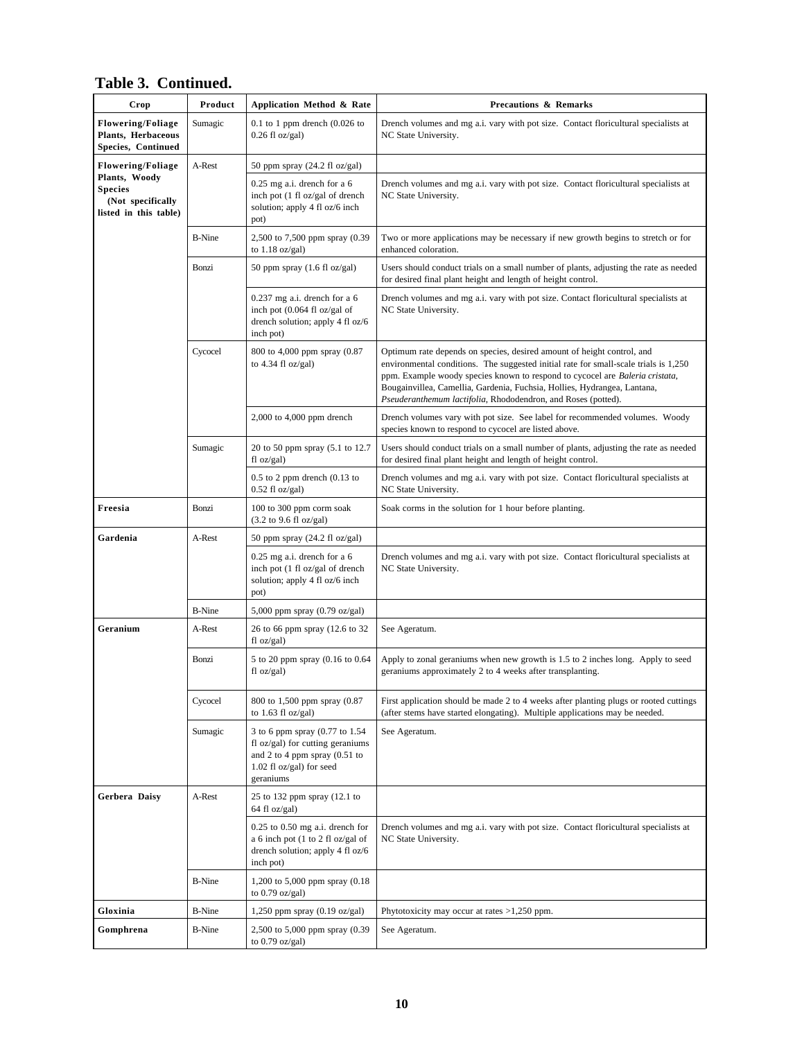| Crop                                                                          | Product       | Application Method & Rate                                                                                                                         | <b>Precautions &amp; Remarks</b>                                                                                                                                                                                                                                                                                                                                                            |
|-------------------------------------------------------------------------------|---------------|---------------------------------------------------------------------------------------------------------------------------------------------------|---------------------------------------------------------------------------------------------------------------------------------------------------------------------------------------------------------------------------------------------------------------------------------------------------------------------------------------------------------------------------------------------|
| <b>Flowering/Foliage</b><br>Plants, Herbaceous<br>Species, Continued          | Sumagic       | $0.1$ to 1 ppm drench $(0.026$ to<br>$0.26$ fl oz/gal)                                                                                            | Drench volumes and mg a.i. vary with pot size. Contact floricultural specialists at<br>NC State University.                                                                                                                                                                                                                                                                                 |
| <b>Flowering/Foliage</b>                                                      | A-Rest        | 50 ppm spray $(24.2 \text{ fl oz/gal})$                                                                                                           |                                                                                                                                                                                                                                                                                                                                                                                             |
| Plants, Woody<br><b>Species</b><br>(Not specifically<br>listed in this table) |               | $0.25$ mg a.i. drench for a 6<br>inch pot (1 fl oz/gal of drench<br>solution; apply 4 fl oz/6 inch<br>pot)                                        | Drench volumes and mg a.i. vary with pot size. Contact floricultural specialists at<br>NC State University.                                                                                                                                                                                                                                                                                 |
|                                                                               | <b>B-Nine</b> | 2,500 to 7,500 ppm spray (0.39<br>to $1.18$ oz/gal)                                                                                               | Two or more applications may be necessary if new growth begins to stretch or for<br>enhanced coloration.                                                                                                                                                                                                                                                                                    |
|                                                                               | Bonzi         | 50 ppm spray $(1.6 \text{ fl oz/gal})$                                                                                                            | Users should conduct trials on a small number of plants, adjusting the rate as needed<br>for desired final plant height and length of height control.                                                                                                                                                                                                                                       |
|                                                                               |               | $0.237$ mg a.i. drench for a 6<br>inch pot (0.064 fl oz/gal of<br>drench solution; apply 4 fl oz/6<br>inch pot)                                   | Drench volumes and mg a.i. vary with pot size. Contact floricultural specialists at<br>NC State University.                                                                                                                                                                                                                                                                                 |
|                                                                               | Cycocel       | 800 to 4,000 ppm spray (0.87<br>to $4.34$ fl oz/gal)                                                                                              | Optimum rate depends on species, desired amount of height control, and<br>environmental conditions. The suggested initial rate for small-scale trials is 1,250<br>ppm. Example woody species known to respond to cycocel are Baleria cristata,<br>Bougainvillea, Camellia, Gardenia, Fuchsia, Hollies, Hydrangea, Lantana,<br>Pseuderanthemum lactifolia, Rhododendron, and Roses (potted). |
|                                                                               |               | $2,000$ to $4,000$ ppm drench                                                                                                                     | Drench volumes vary with pot size. See label for recommended volumes. Woody<br>species known to respond to cycocel are listed above.                                                                                                                                                                                                                                                        |
|                                                                               | Sumagic       | 20 to 50 ppm spray (5.1 to 12.7<br>fl oz/gal)                                                                                                     | Users should conduct trials on a small number of plants, adjusting the rate as needed<br>for desired final plant height and length of height control.                                                                                                                                                                                                                                       |
|                                                                               |               | $0.5$ to 2 ppm drench $(0.13$ to<br>$0.52$ fl oz/gal)                                                                                             | Drench volumes and mg a.i. vary with pot size. Contact floricultural specialists at<br>NC State University.                                                                                                                                                                                                                                                                                 |
| Freesia                                                                       | Bonzi         | 100 to 300 ppm corm soak<br>(3.2 to 9.6 fl oz/gal)                                                                                                | Soak corms in the solution for 1 hour before planting.                                                                                                                                                                                                                                                                                                                                      |
| Gardenia                                                                      | A-Rest        | 50 ppm spray $(24.2 \text{ fl oz/gal})$                                                                                                           |                                                                                                                                                                                                                                                                                                                                                                                             |
|                                                                               |               | $0.25$ mg a.i. drench for a 6<br>inch pot (1 fl oz/gal of drench<br>solution; apply 4 fl oz/6 inch<br>pot)                                        | Drench volumes and mg a.i. vary with pot size. Contact floricultural specialists at<br>NC State University.                                                                                                                                                                                                                                                                                 |
|                                                                               | <b>B-Nine</b> | 5,000 ppm spray $(0.79 \text{ oz/gal})$                                                                                                           |                                                                                                                                                                                                                                                                                                                                                                                             |
| Geranium                                                                      | A-Rest        | 26 to 66 ppm spray (12.6 to 32<br>fl oz/gal)                                                                                                      | See Ageratum.                                                                                                                                                                                                                                                                                                                                                                               |
|                                                                               | Bonzi         | 5 to 20 ppm spray (0.16 to 0.64<br>$f1 oz/gal$ )                                                                                                  | Apply to zonal geraniums when new growth is 1.5 to 2 inches long. Apply to seed<br>geraniums approximately 2 to 4 weeks after transplanting.                                                                                                                                                                                                                                                |
|                                                                               | Cycocel       | 800 to 1,500 ppm spray (0.87<br>to $1.63$ fl oz/gal)                                                                                              | First application should be made 2 to 4 weeks after planting plugs or rooted cuttings<br>(after stems have started elongating). Multiple applications may be needed.                                                                                                                                                                                                                        |
|                                                                               | Sumagic       | 3 to 6 ppm spray (0.77 to 1.54<br>fl oz/gal) for cutting geraniums<br>and 2 to 4 ppm spray $(0.51)$ to<br>$1.02$ fl oz/gal) for seed<br>geraniums | See Ageratum.                                                                                                                                                                                                                                                                                                                                                                               |
| Gerbera Daisy                                                                 | A-Rest        | 25 to 132 ppm spray (12.1 to<br>64 fl oz/gal)                                                                                                     |                                                                                                                                                                                                                                                                                                                                                                                             |
|                                                                               |               | $0.25$ to $0.50$ mg a.i. drench for<br>a 6 inch pot (1 to 2 fl oz/gal of<br>drench solution; apply 4 fl oz/6<br>inch pot)                         | Drench volumes and mg a.i. vary with pot size. Contact floricultural specialists at<br>NC State University.                                                                                                                                                                                                                                                                                 |
|                                                                               | <b>B-Nine</b> | 1,200 to 5,000 ppm spray (0.18)<br>to $0.79$ oz/gal)                                                                                              |                                                                                                                                                                                                                                                                                                                                                                                             |
| Gloxinia                                                                      | <b>B-Nine</b> | 1,250 ppm spray $(0.19 \text{ oz/gal})$                                                                                                           | Phytotoxicity may occur at rates $>1,250$ ppm.                                                                                                                                                                                                                                                                                                                                              |
| Gomphrena                                                                     | <b>B-Nine</b> | 2,500 to 5,000 ppm spray (0.39<br>to $0.79$ oz/gal)                                                                                               | See Ageratum.                                                                                                                                                                                                                                                                                                                                                                               |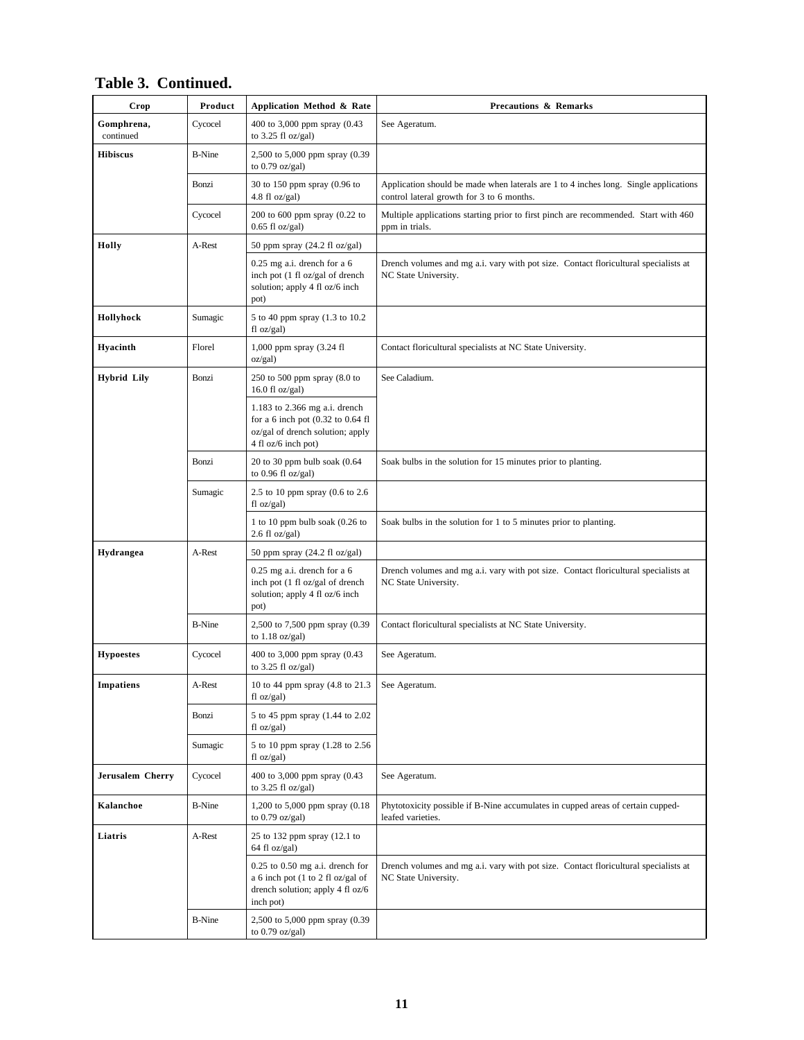| Crop                    | Product       | Application Method & Rate                                                                                                         | <b>Precautions &amp; Remarks</b>                                                                                                  |
|-------------------------|---------------|-----------------------------------------------------------------------------------------------------------------------------------|-----------------------------------------------------------------------------------------------------------------------------------|
| Gomphrena,<br>continued | Cycocel       | 400 to 3,000 ppm spray (0.43<br>to $3.25$ fl oz/gal)                                                                              | See Ageratum.                                                                                                                     |
| <b>Hibiscus</b>         | <b>B-Nine</b> | 2,500 to 5,000 ppm spray (0.39<br>to $0.79$ oz/gal)                                                                               |                                                                                                                                   |
|                         | Bonzi         | 30 to 150 ppm spray (0.96 to<br>4.8 fl $oz/gal$ )                                                                                 | Application should be made when laterals are 1 to 4 inches long. Single applications<br>control lateral growth for 3 to 6 months. |
|                         | Cycocel       | 200 to 600 ppm spray (0.22 to<br>$0.65$ fl oz/gal)                                                                                | Multiple applications starting prior to first pinch are recommended. Start with 460<br>ppm in trials.                             |
| Holly                   | A-Rest        | 50 ppm spray $(24.2 \text{ fl oz/gal})$                                                                                           |                                                                                                                                   |
|                         |               | $0.25$ mg a.i. drench for a 6<br>inch pot (1 fl oz/gal of drench<br>solution; apply 4 fl oz/6 inch<br>pot)                        | Drench volumes and mg a.i. vary with pot size. Contact floricultural specialists at<br>NC State University.                       |
| Hollyhock               | Sumagic       | 5 to 40 ppm spray (1.3 to 10.2)<br>$fl$ oz/gal)                                                                                   |                                                                                                                                   |
| Hyacinth                | Florel        | 1,000 ppm spray (3.24 fl<br>oz/gal)                                                                                               | Contact floricultural specialists at NC State University.                                                                         |
| <b>Hybrid Lily</b>      | Bonzi         | 250 to 500 ppm spray $(8.0 \text{ to }$<br>16.0 fl oz/gal)                                                                        | See Caladium.                                                                                                                     |
|                         |               | 1.183 to 2.366 mg a.i. drench<br>for a 6 inch pot $(0.32$ to $0.64$ fl<br>oz/gal of drench solution; apply<br>4 fl oz/6 inch pot) |                                                                                                                                   |
|                         | Bonzi         | $20$ to $30$ ppm bulb soak $(0.64)$<br>to $0.96$ fl oz/gal)                                                                       | Soak bulbs in the solution for 15 minutes prior to planting.                                                                      |
|                         | Sumagic       | 2.5 to 10 ppm spray (0.6 to 2.6<br>$fl$ oz/gal)                                                                                   |                                                                                                                                   |
|                         |               | 1 to 10 ppm bulb soak $(0.26$ to<br>$2.6 \text{ fl oz/gal}$                                                                       | Soak bulbs in the solution for 1 to 5 minutes prior to planting.                                                                  |
| Hydrangea               | A-Rest        | 50 ppm spray $(24.2 \text{ fl oz/gal})$                                                                                           |                                                                                                                                   |
|                         |               | $0.25$ mg a.i. drench for a 6<br>inch pot (1 fl oz/gal of drench<br>solution; apply 4 fl oz/6 inch<br>pot)                        | Drench volumes and mg a.i. vary with pot size. Contact floricultural specialists at<br>NC State University.                       |
|                         | <b>B-Nine</b> | 2,500 to 7,500 ppm spray (0.39)<br>to $1.18$ oz/gal)                                                                              | Contact floricultural specialists at NC State University.                                                                         |
| <b>Hypoestes</b>        | Cycocel       | 400 to 3,000 ppm spray (0.43)<br>to $3.25$ fl oz/gal)                                                                             | See Ageratum.                                                                                                                     |
| Impatiens               | A-Rest        | 10 to 44 ppm spray (4.8 to 21.3<br>$fl$ oz/gal)                                                                                   | See Ageratum.                                                                                                                     |
|                         | Bonzi         | 5 to 45 ppm spray (1.44 to 2.02)<br>fl oz/gal)                                                                                    |                                                                                                                                   |
|                         | Sumagic       | 5 to 10 ppm spray (1.28 to 2.56)<br>$f1 oz/gal$ )                                                                                 |                                                                                                                                   |
| Jerusalem Cherry        | Cycocel       | 400 to 3,000 ppm spray (0.43<br>to $3.25$ fl oz/gal)                                                                              | See Ageratum.                                                                                                                     |
| Kalanchoe               | <b>B-Nine</b> | 1,200 to 5,000 ppm spray (0.18)<br>to $0.79$ oz/gal)                                                                              | Phytotoxicity possible if B-Nine accumulates in cupped areas of certain cupped-<br>leafed varieties.                              |
| Liatris                 | A-Rest        | 25 to 132 ppm spray (12.1 to<br>64 fl oz/gal)                                                                                     |                                                                                                                                   |
|                         |               | $0.25$ to $0.50$ mg a.i. drench for<br>a 6 inch pot (1 to 2 fl oz/gal of<br>drench solution; apply 4 fl oz/6<br>inch pot)         | Drench volumes and mg a.i. vary with pot size. Contact floricultural specialists at<br>NC State University.                       |
|                         | <b>B-Nine</b> | 2,500 to 5,000 ppm spray (0.39)<br>to $0.79$ oz/gal)                                                                              |                                                                                                                                   |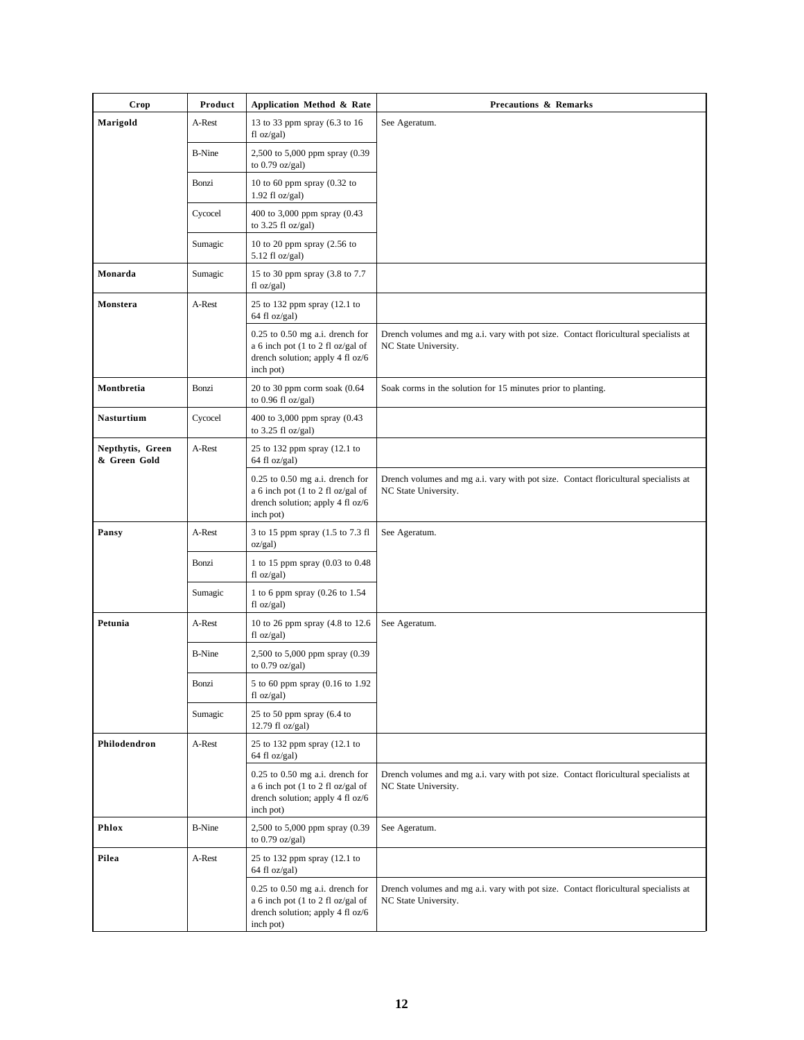| Crop                             | Product       | Application Method & Rate                                                                                                 | <b>Precautions &amp; Remarks</b>                                                                            |  |  |
|----------------------------------|---------------|---------------------------------------------------------------------------------------------------------------------------|-------------------------------------------------------------------------------------------------------------|--|--|
| Marigold                         | A-Rest        | 13 to 33 ppm spray (6.3 to 16<br>$f1 oz/gal$ )                                                                            | See Ageratum.                                                                                               |  |  |
|                                  | <b>B-Nine</b> | 2,500 to 5,000 ppm spray (0.39<br>to $0.79$ oz/gal)                                                                       |                                                                                                             |  |  |
|                                  | Bonzi         | 10 to 60 ppm spray $(0.32$ to<br>$1.92$ fl oz/gal)                                                                        |                                                                                                             |  |  |
|                                  | Cycocel       | 400 to 3,000 ppm spray (0.43<br>to $3.25$ fl oz/gal)                                                                      |                                                                                                             |  |  |
|                                  | Sumagic       | 10 to 20 ppm spray (2.56 to<br>$5.12$ fl oz/gal)                                                                          |                                                                                                             |  |  |
| Monarda                          | Sumagic       | 15 to 30 ppm spray (3.8 to 7.7<br>$fl$ oz/gal)                                                                            |                                                                                                             |  |  |
| Monstera                         | A-Rest        | 25 to 132 ppm spray (12.1 to<br>64 fl oz/gal)                                                                             |                                                                                                             |  |  |
|                                  |               | $0.25$ to $0.50$ mg a.i. drench for<br>a 6 inch pot (1 to 2 fl oz/gal of<br>drench solution; apply 4 fl oz/6<br>inch pot) | Drench volumes and mg a.i. vary with pot size. Contact floricultural specialists at<br>NC State University. |  |  |
| Montbretia                       | Bonzi         | 20 to 30 ppm corm soak (0.64<br>to $0.96$ fl oz/gal)                                                                      | Soak corms in the solution for 15 minutes prior to planting.                                                |  |  |
| <b>Nasturtium</b>                | Cycocel       | 400 to 3,000 ppm spray (0.43<br>to $3.25$ fl oz/gal)                                                                      |                                                                                                             |  |  |
| Nepthytis, Green<br>& Green Gold | A-Rest        | 25 to 132 ppm spray (12.1 to<br>64 fl oz/gal)                                                                             |                                                                                                             |  |  |
|                                  |               | $0.25$ to $0.50$ mg a.i. drench for<br>a 6 inch pot (1 to 2 fl oz/gal of<br>drench solution; apply 4 fl oz/6<br>inch pot) | Drench volumes and mg a.i. vary with pot size. Contact floricultural specialists at<br>NC State University. |  |  |
| Pansy                            | A-Rest        | 3 to 15 ppm spray (1.5 to 7.3 fl<br>oz/gal)                                                                               | See Ageratum.                                                                                               |  |  |
|                                  | Bonzi         | 1 to 15 ppm spray (0.03 to 0.48<br>fl oz/gal)                                                                             |                                                                                                             |  |  |
|                                  | Sumagic       | 1 to 6 ppm spray (0.26 to 1.54<br>$fl$ oz/gal)                                                                            |                                                                                                             |  |  |
| Petunia                          | A-Rest        | 10 to 26 ppm spray (4.8 to 12.6)<br>$fl$ oz/gal)                                                                          | See Ageratum.                                                                                               |  |  |
|                                  | <b>B-Nine</b> | 2,500 to 5,000 ppm spray (0.39<br>to $0.79$ oz/gal)                                                                       |                                                                                                             |  |  |
|                                  | Bonzi         | 5 to 60 ppm spray (0.16 to 1.92<br>$fl$ oz/gal)                                                                           |                                                                                                             |  |  |
|                                  | Sumagic       | 25 to 50 ppm spray (6.4 to<br>12.79 fl oz/gal)                                                                            |                                                                                                             |  |  |
| Philodendron                     | A-Rest        | 25 to 132 ppm spray (12.1 to<br>64 fl oz/gal)                                                                             |                                                                                                             |  |  |
|                                  |               | $0.25$ to $0.50$ mg a.i. drench for<br>a 6 inch pot (1 to 2 fl oz/gal of<br>drench solution; apply 4 fl oz/6<br>inch pot) | Drench volumes and mg a.i. vary with pot size. Contact floricultural specialists at<br>NC State University. |  |  |
| Phlox                            | <b>B-Nine</b> | 2,500 to 5,000 ppm spray (0.39)<br>to $0.79$ oz/gal)                                                                      | See Ageratum.                                                                                               |  |  |
| Pilea                            | A-Rest        | 25 to 132 ppm spray (12.1 to<br>64 fl oz/gal)                                                                             |                                                                                                             |  |  |
|                                  |               | $0.25$ to $0.50$ mg a.i. drench for<br>a 6 inch pot (1 to 2 fl oz/gal of<br>drench solution; apply 4 fl oz/6<br>inch pot) | Drench volumes and mg a.i. vary with pot size. Contact floricultural specialists at<br>NC State University. |  |  |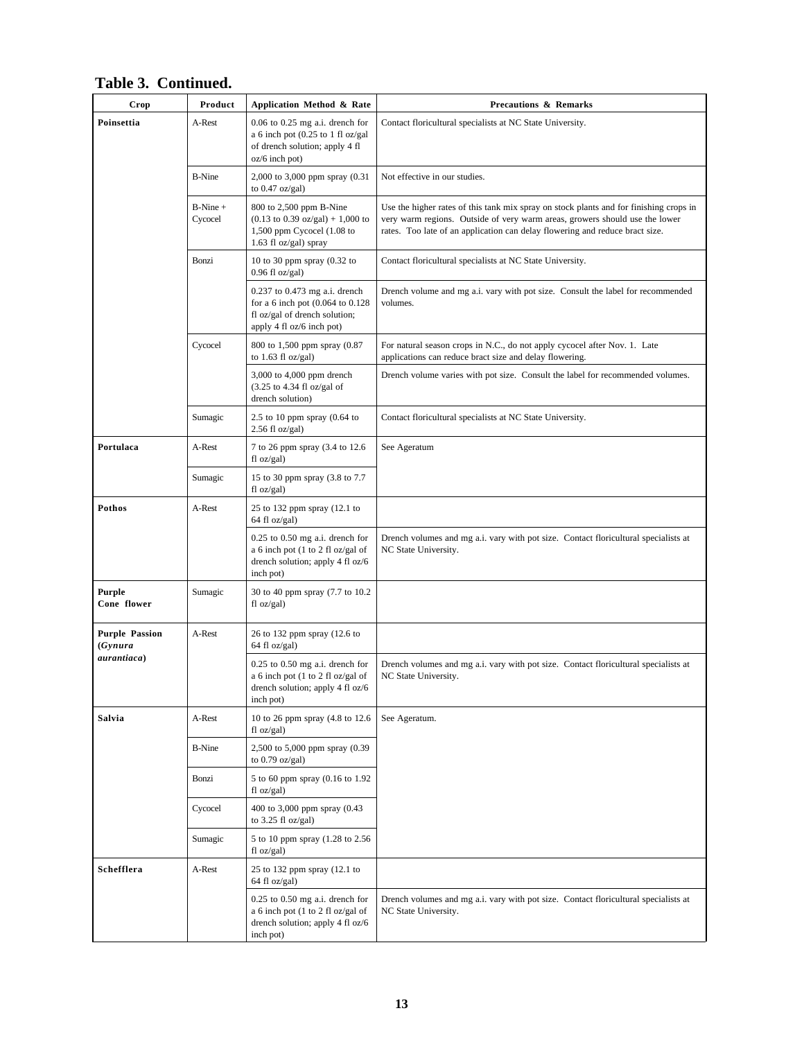| Crop                              | Product               | Application Method & Rate                                                                                                                       | <b>Precautions &amp; Remarks</b>                                                                                                                                                                                                                      |  |  |
|-----------------------------------|-----------------------|-------------------------------------------------------------------------------------------------------------------------------------------------|-------------------------------------------------------------------------------------------------------------------------------------------------------------------------------------------------------------------------------------------------------|--|--|
| Poinsettia                        | A-Rest                | $0.06$ to $0.25$ mg a.i. drench for<br>a 6 inch pot $(0.25$ to 1 fl oz/gal<br>of drench solution; apply 4 fl<br>$oz/6$ inch pot)                | Contact floricultural specialists at NC State University.                                                                                                                                                                                             |  |  |
|                                   | <b>B-Nine</b>         | 2,000 to 3,000 ppm spray (0.31<br>to $0.47$ oz/gal)                                                                                             | Not effective in our studies.                                                                                                                                                                                                                         |  |  |
|                                   | $B-Nine +$<br>Cycocel | 800 to 2,500 ppm B-Nine<br>$(0.13 \text{ to } 0.39 \text{ oz/gal}) + 1,000 \text{ to}$<br>1,500 ppm Cycocel $(1.08$ to<br>1.63 fl oz/gal) spray | Use the higher rates of this tank mix spray on stock plants and for finishing crops in<br>very warm regions. Outside of very warm areas, growers should use the lower<br>rates. Too late of an application can delay flowering and reduce bract size. |  |  |
|                                   | Bonzi                 | 10 to 30 ppm spray $(0.32$ to<br>$0.96$ fl oz/gal)                                                                                              | Contact floricultural specialists at NC State University.                                                                                                                                                                                             |  |  |
|                                   |                       | $0.237$ to $0.473$ mg a.i. drench<br>for a 6 inch pot (0.064 to 0.128)<br>fl oz/gal of drench solution;<br>apply 4 fl oz/6 inch pot)            | Drench volume and mg a.i. vary with pot size. Consult the label for recommended<br>volumes.                                                                                                                                                           |  |  |
|                                   | Cycocel               | 800 to 1,500 ppm spray (0.87<br>to $1.63$ fl oz/gal)                                                                                            | For natural season crops in N.C., do not apply cycocel after Nov. 1. Late<br>applications can reduce bract size and delay flowering.                                                                                                                  |  |  |
|                                   |                       | 3,000 to 4,000 ppm drench<br>$(3.25$ to 4.34 fl oz/gal of<br>drench solution)                                                                   | Drench volume varies with pot size. Consult the label for recommended volumes.                                                                                                                                                                        |  |  |
|                                   | Sumagic               | 2.5 to 10 ppm spray $(0.64)$ to<br>$2.56$ fl oz/gal)                                                                                            | Contact floricultural specialists at NC State University.                                                                                                                                                                                             |  |  |
| Portulaca                         | A-Rest                | 7 to 26 ppm spray (3.4 to 12.6)<br>fl oz/gal)                                                                                                   | See Ageratum                                                                                                                                                                                                                                          |  |  |
|                                   | Sumagic               | 15 to 30 ppm spray (3.8 to 7.7<br>fl oz/gal)                                                                                                    |                                                                                                                                                                                                                                                       |  |  |
| Pothos                            | A-Rest                | 25 to 132 ppm spray (12.1 to<br>64 fl oz/gal)                                                                                                   |                                                                                                                                                                                                                                                       |  |  |
|                                   |                       | $0.25$ to $0.50$ mg a.i. drench for<br>a 6 inch pot (1 to 2 fl oz/gal of<br>drench solution; apply 4 fl oz/6<br>inch pot)                       | Drench volumes and mg a.i. vary with pot size. Contact floricultural specialists at<br>NC State University.                                                                                                                                           |  |  |
| <b>Purple</b><br>Cone flower      | Sumagic               | 30 to 40 ppm spray (7.7 to 10.2)<br>fl oz/gal)                                                                                                  |                                                                                                                                                                                                                                                       |  |  |
| <b>Purple Passion</b><br>(Gynura) | A-Rest                | 26 to 132 ppm spray (12.6 to<br>64 fl oz/gal)                                                                                                   |                                                                                                                                                                                                                                                       |  |  |
| aurantiaca)                       |                       | $0.25$ to $0.50$ mg a.i. drench for<br>a 6 inch pot (1 to 2 fl oz/gal of<br>drench solution; apply 4 fl oz/6<br>inch pot)                       | Drench volumes and mg a.i. vary with pot size. Contact floricultural specialists at<br>NC State University.                                                                                                                                           |  |  |
| Salvia                            | A-Rest                | 10 to 26 ppm spray (4.8 to 12.6<br>fl oz/gal)                                                                                                   | See Ageratum.                                                                                                                                                                                                                                         |  |  |
|                                   | <b>B-Nine</b>         | 2,500 to 5,000 ppm spray (0.39)<br>to $0.79$ oz/gal)                                                                                            |                                                                                                                                                                                                                                                       |  |  |
|                                   | Bonzi                 | 5 to 60 ppm spray (0.16 to 1.92<br>fl oz/gal)                                                                                                   |                                                                                                                                                                                                                                                       |  |  |
|                                   | Cycocel               | 400 to 3,000 ppm spray (0.43<br>to $3.25$ fl oz/gal)                                                                                            |                                                                                                                                                                                                                                                       |  |  |
|                                   | Sumagic               | 5 to 10 ppm spray (1.28 to 2.56)<br>fl oz/gal)                                                                                                  |                                                                                                                                                                                                                                                       |  |  |
| Schefflera                        | A-Rest                | 25 to 132 ppm spray (12.1 to<br>64 fl oz/gal)                                                                                                   |                                                                                                                                                                                                                                                       |  |  |
|                                   |                       | $0.25$ to $0.50$ mg a.i. drench for<br>a 6 inch pot (1 to 2 fl oz/gal of<br>drench solution; apply 4 fl oz/6<br>inch pot)                       | Drench volumes and mg a.i. vary with pot size. Contact floricultural specialists at<br>NC State University.                                                                                                                                           |  |  |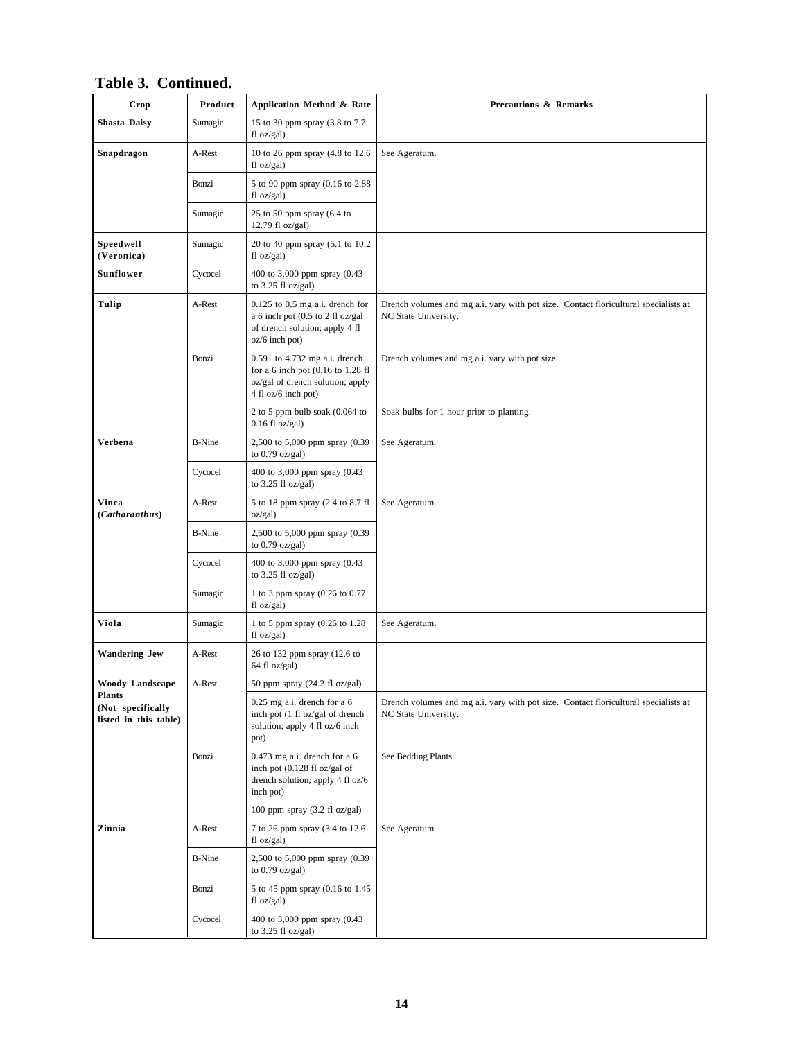| Crop                                                        | Product       | Application Method & Rate                                                                                                       | <b>Precautions &amp; Remarks</b>                                                                            |  |  |
|-------------------------------------------------------------|---------------|---------------------------------------------------------------------------------------------------------------------------------|-------------------------------------------------------------------------------------------------------------|--|--|
| <b>Shasta Daisy</b>                                         | Sumagic       | 15 to 30 ppm spray (3.8 to 7.7<br>f1 oz/gal                                                                                     |                                                                                                             |  |  |
| Snapdragon                                                  | A-Rest        | 10 to 26 ppm spray (4.8 to 12.6)<br>fl oz/gal)                                                                                  | See Ageratum.                                                                                               |  |  |
|                                                             | Bonzi         | 5 to 90 ppm spray (0.16 to 2.88)<br>fl oz/gal)                                                                                  |                                                                                                             |  |  |
|                                                             | Sumagic       | 25 to 50 ppm spray $(6.4 \text{ to }$<br>12.79 fl oz/gal)                                                                       |                                                                                                             |  |  |
| Speedwell<br>(Veronica)                                     | Sumagic       | 20 to 40 ppm spray (5.1 to 10.2)<br>fl oz/gal)                                                                                  |                                                                                                             |  |  |
| <b>Sunflower</b>                                            | Cycocel       | 400 to 3,000 ppm spray (0.43<br>to $3.25$ fl oz/gal)                                                                            |                                                                                                             |  |  |
| A-Rest<br>Tulip                                             |               | $0.125$ to $0.5$ mg a.i. drench for<br>a 6 inch pot (0.5 to 2 fl oz/gal<br>of drench solution; apply 4 fl<br>$oz/6$ inch pot)   | Drench volumes and mg a.i. vary with pot size. Contact floricultural specialists at<br>NC State University. |  |  |
|                                                             | Bonzi         | 0.591 to 4.732 mg a.i. drench<br>for a 6 inch pot $(0.16$ to 1.28 fl<br>oz/gal of drench solution; apply<br>4 fl oz/6 inch pot) | Drench volumes and mg a.i. vary with pot size.                                                              |  |  |
|                                                             |               | 2 to 5 ppm bulb soak (0.064 to<br>$0.16$ fl oz/gal)                                                                             | Soak bulbs for 1 hour prior to planting.                                                                    |  |  |
| Verbena                                                     | <b>B-Nine</b> | 2,500 to 5,000 ppm spray (0.39<br>to 0.79 oz/gal)                                                                               | See Ageratum.                                                                                               |  |  |
|                                                             | Cycocel       | 400 to 3,000 ppm spray (0.43<br>to $3.25$ fl oz/gal)                                                                            |                                                                                                             |  |  |
| Vinca<br>(Catharanthus)                                     | A-Rest        | 5 to 18 ppm spray (2.4 to 8.7 fl<br>oz/gal)                                                                                     | See Ageratum.                                                                                               |  |  |
|                                                             | <b>B-Nine</b> | 2,500 to 5,000 ppm spray (0.39<br>to $0.79$ oz/gal)                                                                             |                                                                                                             |  |  |
|                                                             | Cycocel       | 400 to 3,000 ppm spray (0.43<br>to $3.25$ fl oz/gal)                                                                            |                                                                                                             |  |  |
|                                                             | Sumagic       | 1 to 3 ppm spray (0.26 to 0.77<br>fl oz/gal)                                                                                    |                                                                                                             |  |  |
| Viola                                                       | Sumagic       | 1 to 5 ppm spray (0.26 to 1.28)<br>fl oz/gal)                                                                                   | See Ageratum.                                                                                               |  |  |
| <b>Wandering Jew</b>                                        | A-Rest        | 26 to 132 ppm spray (12.6 to<br>64 fl oz/gal)                                                                                   |                                                                                                             |  |  |
| Woody Landscape                                             | A-Rest        | 50 ppm spray (24.2 fl oz/gal)                                                                                                   |                                                                                                             |  |  |
| <b>Plants</b><br>(Not specifically<br>listed in this table) |               | $0.25$ mg a.i. drench for a 6<br>inch pot (1 fl oz/gal of drench<br>solution; apply 4 fl oz/6 inch<br>pot)                      | Drench volumes and mg a.i. vary with pot size. Contact floricultural specialists at<br>NC State University. |  |  |
|                                                             | Bonzi         | $0.473$ mg a.i. drench for a 6<br>inch pot (0.128 fl oz/gal of<br>drench solution; apply 4 fl oz/6<br>inch pot)                 | See Bedding Plants                                                                                          |  |  |
|                                                             |               | 100 ppm spray $(3.2 \text{ fl oz/gal})$                                                                                         |                                                                                                             |  |  |
| Zinnia                                                      | A-Rest        | 7 to 26 ppm spray (3.4 to 12.6)<br>fl oz/gal)                                                                                   | See Ageratum.                                                                                               |  |  |
|                                                             | <b>B-Nine</b> | 2,500 to 5,000 ppm spray (0.39<br>to $0.79$ oz/gal)                                                                             |                                                                                                             |  |  |
|                                                             | Bonzi         | 5 to 45 ppm spray (0.16 to 1.45<br>fl oz/gal)                                                                                   |                                                                                                             |  |  |
|                                                             | Cycocel       | 400 to 3,000 ppm spray (0.43<br>to $3.25$ fl oz/gal)                                                                            |                                                                                                             |  |  |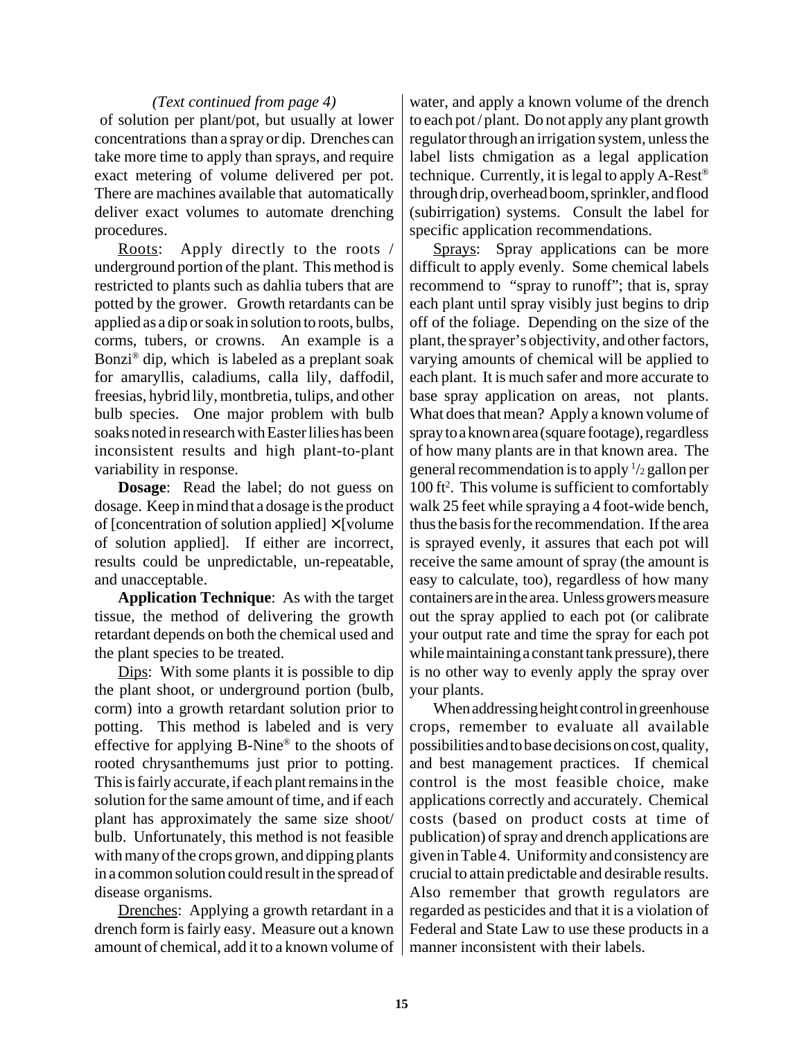#### *(Text continued from page 4)*

 of solution per plant/pot, but usually at lower concentrations than a spray or dip. Drenches can take more time to apply than sprays, and require exact metering of volume delivered per pot. There are machines available that automatically deliver exact volumes to automate drenching procedures.

Roots: Apply directly to the roots / underground portion of the plant. This method is restricted to plants such as dahlia tubers that are potted by the grower. Growth retardants can be applied as a dip or soak in solution to roots, bulbs, corms, tubers, or crowns. An example is a Bonzi® dip, which is labeled as a preplant soak for amaryllis, caladiums, calla lily, daffodil, freesias, hybrid lily, montbretia, tulips, and other bulb species. One major problem with bulb soaks noted in research with Easter lilies has been inconsistent results and high plant-to-plant variability in response.

**Dosage**: Read the label; do not guess on dosage. Keep in mind that a dosage is the product of [concentration of solution applied]  $\times$  [volume] of solution applied]. If either are incorrect, results could be unpredictable, un-repeatable, and unacceptable.

**Application Technique**: As with the target tissue, the method of delivering the growth retardant depends on both the chemical used and the plant species to be treated.

Dips: With some plants it is possible to dip the plant shoot, or underground portion (bulb, corm) into a growth retardant solution prior to potting. This method is labeled and is very effective for applying B-Nine® to the shoots of rooted chrysanthemums just prior to potting. This is fairly accurate, if each plant remains in the solution for the same amount of time, and if each plant has approximately the same size shoot/ bulb. Unfortunately, this method is not feasible with many of the crops grown, and dipping plants in a common solution could result in the spread of disease organisms.

Drenches: Applying a growth retardant in a drench form is fairly easy. Measure out a known amount of chemical, add it to a known volume of water, and apply a known volume of the drench to each pot / plant. Do not apply any plant growth regulator through an irrigation system, unless the label lists chmigation as a legal application technique. Currently, it is legal to apply A-Rest® through drip, overhead boom, sprinkler, and flood (subirrigation) systems. Consult the label for specific application recommendations.

Sprays: Spray applications can be more difficult to apply evenly. Some chemical labels recommend to "spray to runoff"; that is, spray each plant until spray visibly just begins to drip off of the foliage. Depending on the size of the plant, the sprayer's objectivity, and other factors, varying amounts of chemical will be applied to each plant. It is much safer and more accurate to base spray application on areas, not plants. What does that mean? Apply a known volume of spray to a known area (square footage), regardless of how many plants are in that known area. The general recommendation is to apply 1 /2 gallon per 100 ft<sup>2</sup>. This volume is sufficient to comfortably walk 25 feet while spraying a 4 foot-wide bench, thus the basis for the recommendation. If the area is sprayed evenly, it assures that each pot will receive the same amount of spray (the amount is easy to calculate, too), regardless of how many containers are in the area. Unless growers measure out the spray applied to each pot (or calibrate your output rate and time the spray for each pot while maintaining a constant tank pressure), there is no other way to evenly apply the spray over your plants.

When addressing height control in greenhouse crops, remember to evaluate all available possibilities and to base decisions on cost, quality, and best management practices. If chemical control is the most feasible choice, make applications correctly and accurately. Chemical costs (based on product costs at time of publication) of spray and drench applications are given in Table 4. Uniformity and consistency are crucial to attain predictable and desirable results. Also remember that growth regulators are regarded as pesticides and that it is a violation of Federal and State Law to use these products in a manner inconsistent with their labels.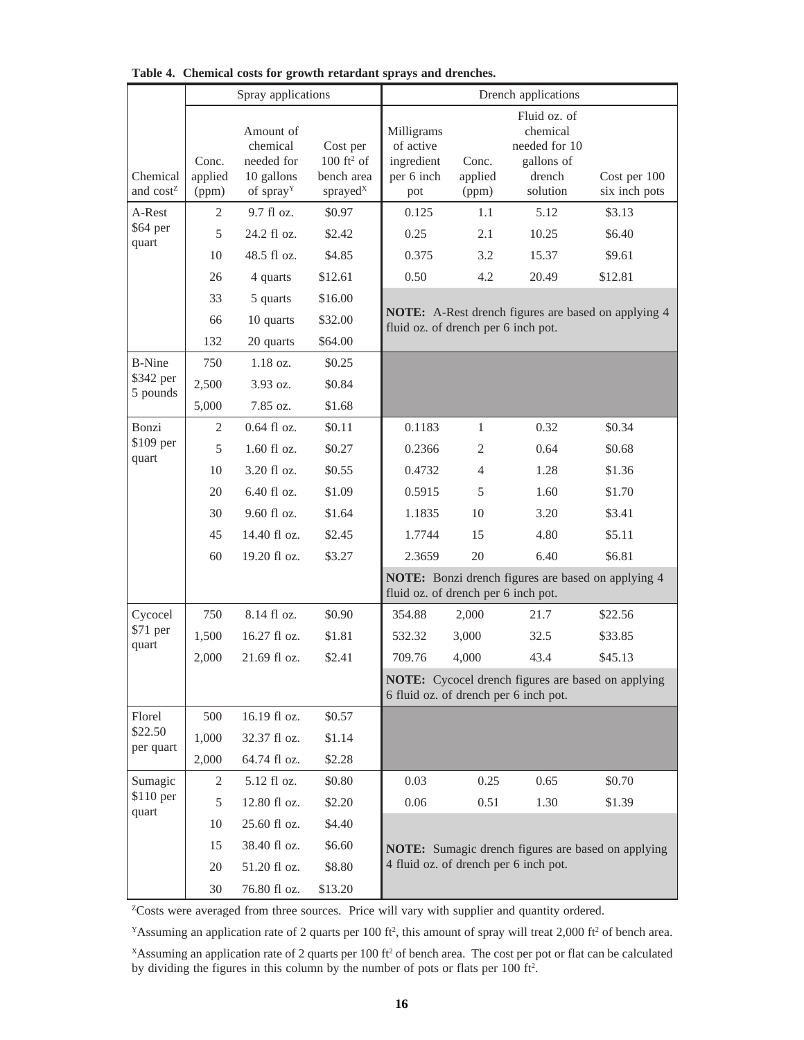|                                             |                                             | Spray applications                                                                       |                                                                                           | Drench applications                                                                                |                                  |                                                                                       |                                         |  |
|---------------------------------------------|---------------------------------------------|------------------------------------------------------------------------------------------|-------------------------------------------------------------------------------------------|----------------------------------------------------------------------------------------------------|----------------------------------|---------------------------------------------------------------------------------------|-----------------------------------------|--|
| Chemical<br>and cost <sup>Z</sup><br>A-Rest | Conc.<br>applied<br>(ppm)<br>$\overline{2}$ | Amount of<br>chemical<br>needed for<br>10 gallons<br>of spray <sup>Y</sup><br>9.7 fl oz. | Cost per<br>$100 \text{ ft}^2 \text{ of}$<br>bench area<br>sprayed <sup>x</sup><br>\$0.97 | Milligrams<br>of active<br>ingredient<br>per 6 inch<br>pot<br>0.125                                | Conc.<br>applied<br>(ppm)<br>1.1 | Fluid oz. of<br>chemical<br>needed for 10<br>gallons of<br>drench<br>solution<br>5.12 | Cost per 100<br>six inch pots<br>\$3.13 |  |
| \$64 per<br>quart                           | 5                                           | 24.2 fl oz.                                                                              | \$2.42                                                                                    | 0.25                                                                                               | 2.1                              | 10.25                                                                                 | \$6.40                                  |  |
|                                             | 10                                          | $48.5$ fl oz.                                                                            | \$4.85                                                                                    | 0.375                                                                                              | 3.2                              | 15.37                                                                                 | \$9.61                                  |  |
|                                             | 26                                          | 4 quarts                                                                                 | \$12.61                                                                                   | 0.50                                                                                               | 4.2                              | 20.49                                                                                 | \$12.81                                 |  |
|                                             | 33                                          | 5 quarts                                                                                 | \$16.00                                                                                   |                                                                                                    |                                  |                                                                                       |                                         |  |
|                                             | 66                                          | 10 quarts                                                                                | \$32.00                                                                                   | NOTE: A-Rest drench figures are based on applying 4<br>fluid oz. of drench per 6 inch pot.         |                                  |                                                                                       |                                         |  |
|                                             | 132                                         | 20 quarts                                                                                | \$64.00                                                                                   |                                                                                                    |                                  |                                                                                       |                                         |  |
| <b>B-Nine</b><br>\$342 per<br>5 pounds      | 750                                         | $1.18$ oz.                                                                               | \$0.25                                                                                    |                                                                                                    |                                  |                                                                                       |                                         |  |
|                                             | 2,500                                       | $3.93$ oz.                                                                               | \$0.84                                                                                    |                                                                                                    |                                  |                                                                                       |                                         |  |
|                                             | 5,000                                       | 7.85 oz.                                                                                 | \$1.68                                                                                    |                                                                                                    |                                  |                                                                                       |                                         |  |
| Bonzi                                       | 2                                           | $0.64$ fl oz.                                                                            | \$0.11                                                                                    | 0.1183                                                                                             | $\mathbf{1}$                     | 0.32                                                                                  | \$0.34                                  |  |
| \$109 per<br>quart                          | 5                                           | $1.60$ fl oz.                                                                            | \$0.27                                                                                    | 0.2366                                                                                             | $\overline{c}$                   | 0.64                                                                                  | \$0.68                                  |  |
|                                             | 10                                          | 3.20 fl oz.                                                                              | \$0.55                                                                                    | 0.4732                                                                                             | 4                                | 1.28                                                                                  | \$1.36                                  |  |
|                                             | 20                                          | 6.40 fl oz.                                                                              | \$1.09                                                                                    | 0.5915                                                                                             | 5                                | 1.60                                                                                  | \$1.70                                  |  |
|                                             | 30                                          | 9.60 fl oz.                                                                              | \$1.64                                                                                    | 1.1835                                                                                             | 10                               | 3.20                                                                                  | \$3.41                                  |  |
|                                             | 45                                          | 14.40 fl oz.                                                                             | \$2.45                                                                                    | 1.7744                                                                                             | 15                               | 4.80                                                                                  | \$5.11                                  |  |
|                                             | 60                                          | 19.20 fl oz.                                                                             | \$3.27                                                                                    | 2.3659                                                                                             | 20                               | 6.40                                                                                  | \$6.81                                  |  |
|                                             |                                             |                                                                                          |                                                                                           | NOTE: Bonzi drench figures are based on applying 4<br>fluid oz. of drench per 6 inch pot.          |                                  |                                                                                       |                                         |  |
| Cycocel<br>\$71 per<br>quart                | 750                                         | 8.14 fl oz.                                                                              | \$0.90                                                                                    | 354.88                                                                                             | 2,000                            | 21.7                                                                                  | \$22.56                                 |  |
|                                             | 1,500                                       | 16.27 fl oz.                                                                             | \$1.81                                                                                    | 532.32                                                                                             | 3,000                            | 32.5                                                                                  | \$33.85                                 |  |
|                                             | 2,000                                       | 21.69 fl oz.                                                                             | \$2.41                                                                                    | 709.76                                                                                             | 4,000                            | 43.4                                                                                  | \$45.13                                 |  |
|                                             |                                             |                                                                                          |                                                                                           | <b>NOTE:</b> Cycocel drench figures are based on applying<br>6 fluid oz. of drench per 6 inch pot. |                                  |                                                                                       |                                         |  |
| Florel                                      | 500                                         | 16.19 fl oz.                                                                             | \$0.57                                                                                    |                                                                                                    |                                  |                                                                                       |                                         |  |
| \$22.50<br>per quart                        | 1,000                                       | 32.37 fl oz.                                                                             | \$1.14                                                                                    |                                                                                                    |                                  |                                                                                       |                                         |  |
|                                             | 2,000                                       | 64.74 fl oz.                                                                             | \$2.28                                                                                    |                                                                                                    |                                  |                                                                                       |                                         |  |
| Sumagic<br>\$110 per<br>quart               | 2                                           | 5.12 fl oz.                                                                              | \$0.80                                                                                    | 0.03                                                                                               | 0.25                             | 0.65                                                                                  | \$0.70                                  |  |
|                                             | 5                                           | 12.80 fl oz.                                                                             | \$2.20                                                                                    | 0.06                                                                                               | 0.51                             | 1.30                                                                                  | \$1.39                                  |  |
|                                             | 10                                          | 25.60 fl oz.                                                                             | \$4.40                                                                                    |                                                                                                    |                                  |                                                                                       |                                         |  |
|                                             | 15                                          | 38.40 fl oz.                                                                             | \$6.60                                                                                    | <b>NOTE:</b> Sumagic drench figures are based on applying<br>4 fluid oz. of drench per 6 inch pot. |                                  |                                                                                       |                                         |  |
|                                             | $20\,$                                      | 51.20 fl oz.                                                                             | \$8.80                                                                                    |                                                                                                    |                                  |                                                                                       |                                         |  |
|                                             | 30                                          | 76.80 fl oz.                                                                             | \$13.20                                                                                   |                                                                                                    |                                  |                                                                                       |                                         |  |

**Table 4. Chemical costs for growth retardant sprays and drenches.**

<sup>z</sup>Costs were averaged from three sources. Price will vary with supplier and quantity ordered.

<sup>Y</sup>Assuming an application rate of 2 quarts per 100 ft<sup>2</sup>, this amount of spray will treat 2,000 ft<sup>2</sup> of bench area.

 $X$ Assuming an application rate of 2 quarts per 100 ft<sup>2</sup> of bench area. The cost per pot or flat can be calculated by dividing the figures in this column by the number of pots or flats per 100 ft<sup>2</sup>.